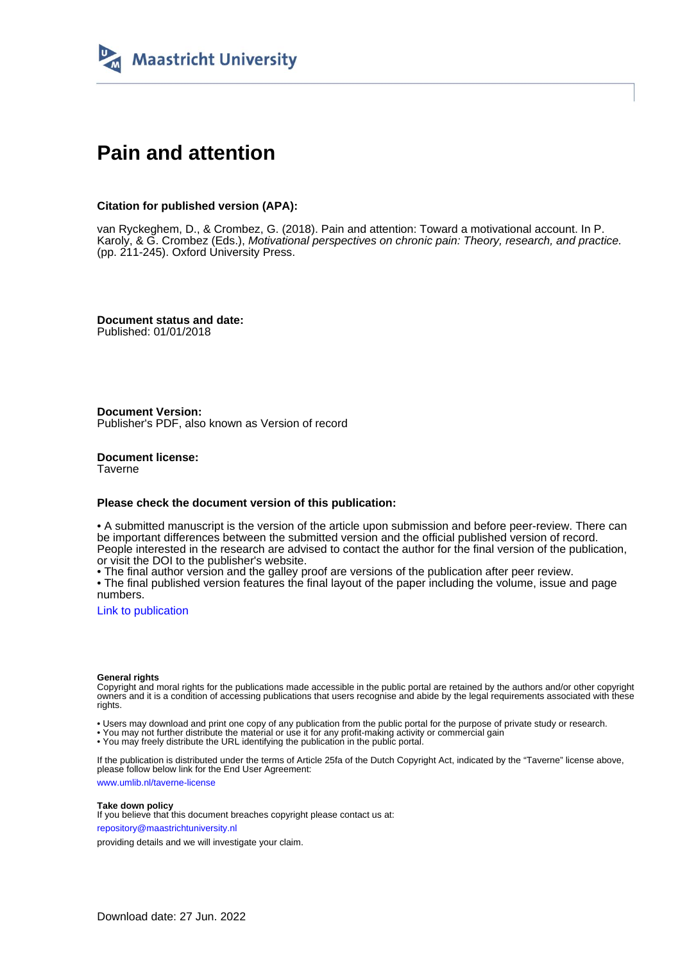

# **Pain and attention**

#### **Citation for published version (APA):**

van Ryckeghem, D., & Crombez, G. (2018). Pain and attention: Toward a motivational account. In P. Karoly, & G. Crombez (Eds.), Motivational perspectives on chronic pain: Theory, research, and practice. (pp. 211-245). Oxford University Press.

**Document status and date:** Published: 01/01/2018

**Document Version:** Publisher's PDF, also known as Version of record

**Document license: Taverne** 

#### **Please check the document version of this publication:**

• A submitted manuscript is the version of the article upon submission and before peer-review. There can be important differences between the submitted version and the official published version of record. People interested in the research are advised to contact the author for the final version of the publication, or visit the DOI to the publisher's website.

• The final author version and the galley proof are versions of the publication after peer review.

• The final published version features the final layout of the paper including the volume, issue and page numbers.

[Link to publication](https://cris.maastrichtuniversity.nl/en/publications/8b51f7e5-e0b4-4552-b105-19d942ba25af)

#### **General rights**

Copyright and moral rights for the publications made accessible in the public portal are retained by the authors and/or other copyright owners and it is a condition of accessing publications that users recognise and abide by the legal requirements associated with these rights.

• Users may download and print one copy of any publication from the public portal for the purpose of private study or research.

• You may not further distribute the material or use it for any profit-making activity or commercial gain

• You may freely distribute the URL identifying the publication in the public portal.

If the publication is distributed under the terms of Article 25fa of the Dutch Copyright Act, indicated by the "Taverne" license above, please follow below link for the End User Agreement:

www.umlib.nl/taverne-license

#### **Take down policy**

If you believe that this document breaches copyright please contact us at: repository@maastrichtuniversity.nl

providing details and we will investigate your claim.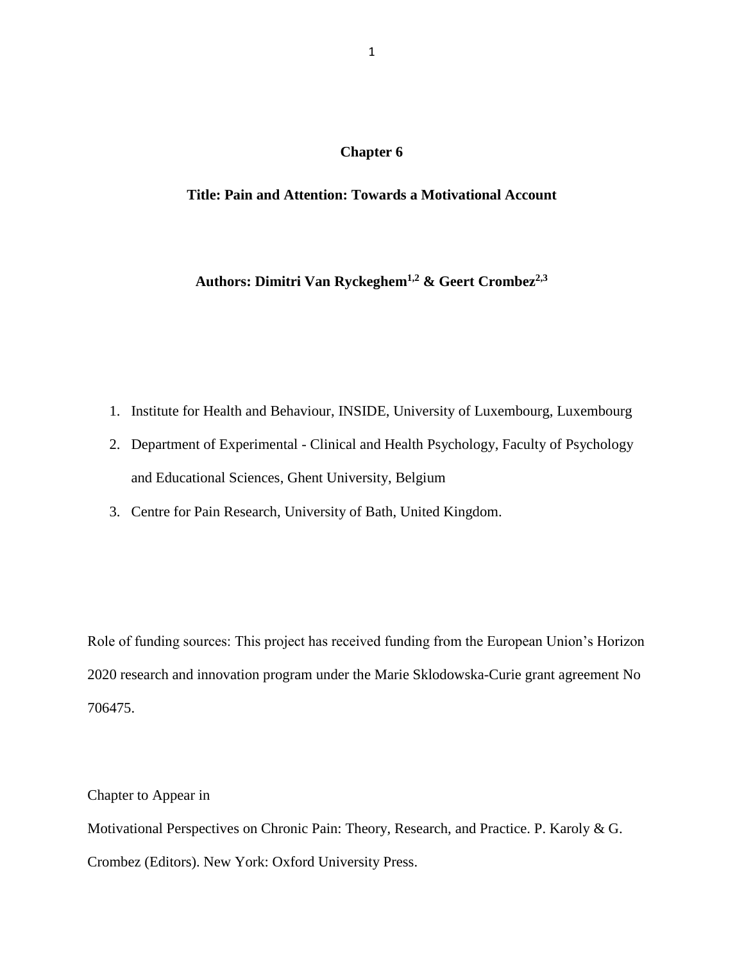## **Chapter 6**

# **Title: Pain and Attention: Towards a Motivational Account**

# **Authors: Dimitri Van Ryckeghem1,2 & Geert Crombez2,3**

- 1. Institute for Health and Behaviour, INSIDE, University of Luxembourg, Luxembourg
- 2. Department of Experimental Clinical and Health Psychology, Faculty of Psychology and Educational Sciences, Ghent University, Belgium
- 3. Centre for Pain Research, University of Bath, United Kingdom.

Role of funding sources: This project has received funding from the European Union's Horizon 2020 research and innovation program under the Marie Sklodowska-Curie grant agreement No 706475.

Chapter to Appear in

Motivational Perspectives on Chronic Pain: Theory, Research, and Practice. P. Karoly & G. Crombez (Editors). New York: Oxford University Press.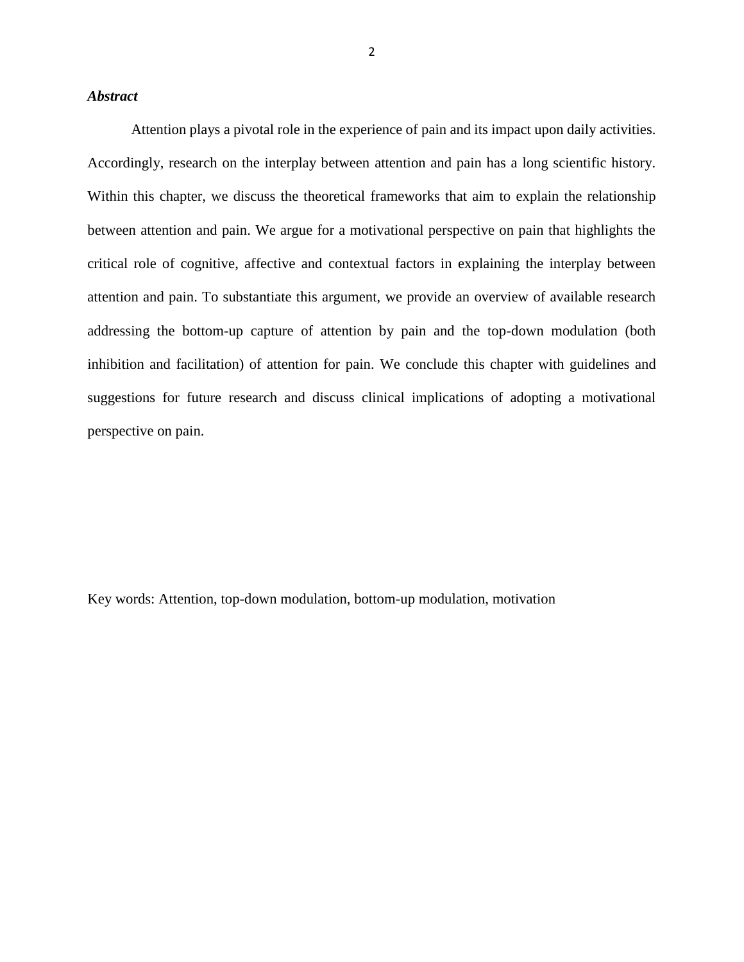## *Abstract*

Attention plays a pivotal role in the experience of pain and its impact upon daily activities. Accordingly, research on the interplay between attention and pain has a long scientific history. Within this chapter, we discuss the theoretical frameworks that aim to explain the relationship between attention and pain. We argue for a motivational perspective on pain that highlights the critical role of cognitive, affective and contextual factors in explaining the interplay between attention and pain. To substantiate this argument, we provide an overview of available research addressing the bottom-up capture of attention by pain and the top-down modulation (both inhibition and facilitation) of attention for pain. We conclude this chapter with guidelines and suggestions for future research and discuss clinical implications of adopting a motivational perspective on pain.

Key words: Attention, top-down modulation, bottom-up modulation, motivation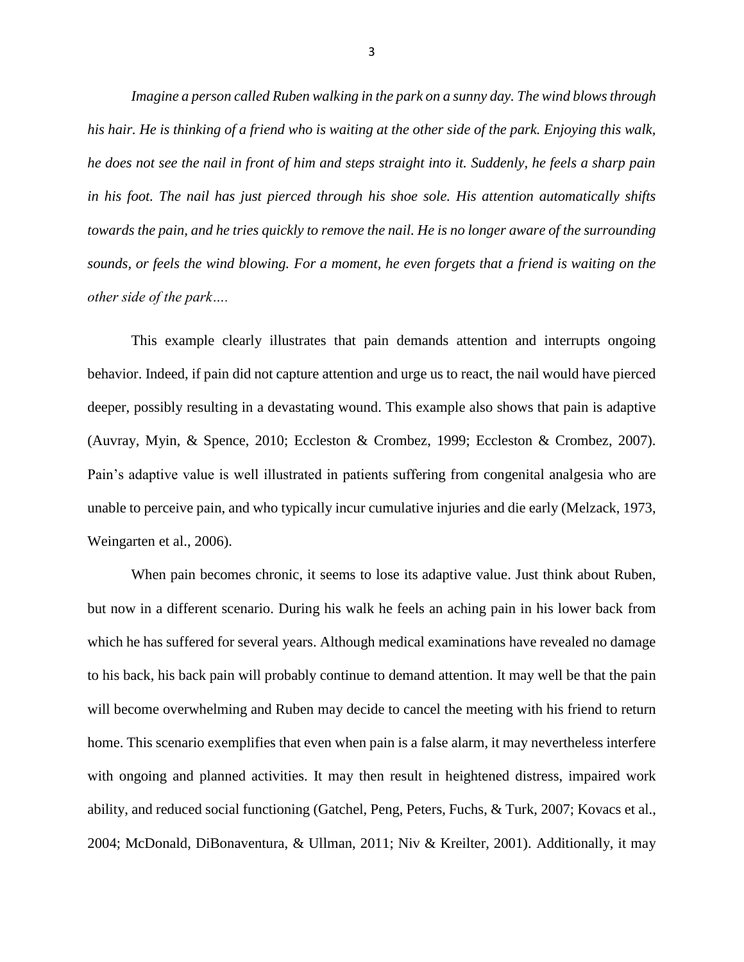*Imagine a person called Ruben walking in the park on a sunny day. The wind blows through his hair. He is thinking of a friend who is waiting at the other side of the park. Enjoying this walk, he does not see the nail in front of him and steps straight into it. Suddenly, he feels a sharp pain in his foot. The nail has just pierced through his shoe sole. His attention automatically shifts towards the pain, and he tries quickly to remove the nail. He is no longer aware of the surrounding sounds, or feels the wind blowing. For a moment, he even forgets that a friend is waiting on the other side of the park….*

This example clearly illustrates that pain demands attention and interrupts ongoing behavior. Indeed, if pain did not capture attention and urge us to react, the nail would have pierced deeper, possibly resulting in a devastating wound. This example also shows that pain is adaptive (Auvray, Myin, & Spence, 2010; Eccleston & Crombez, 1999; Eccleston & Crombez, 2007). Pain's adaptive value is well illustrated in patients suffering from congenital analgesia who are unable to perceive pain, and who typically incur cumulative injuries and die early (Melzack, 1973, Weingarten et al., 2006).

When pain becomes chronic, it seems to lose its adaptive value. Just think about Ruben, but now in a different scenario. During his walk he feels an aching pain in his lower back from which he has suffered for several years. Although medical examinations have revealed no damage to his back, his back pain will probably continue to demand attention. It may well be that the pain will become overwhelming and Ruben may decide to cancel the meeting with his friend to return home. This scenario exemplifies that even when pain is a false alarm, it may nevertheless interfere with ongoing and planned activities. It may then result in heightened distress, impaired work ability, and reduced social functioning (Gatchel, Peng, Peters, Fuchs, & Turk, 2007; Kovacs et al., 2004; McDonald, DiBonaventura, & Ullman, 2011; Niv & Kreilter, 2001). Additionally, it may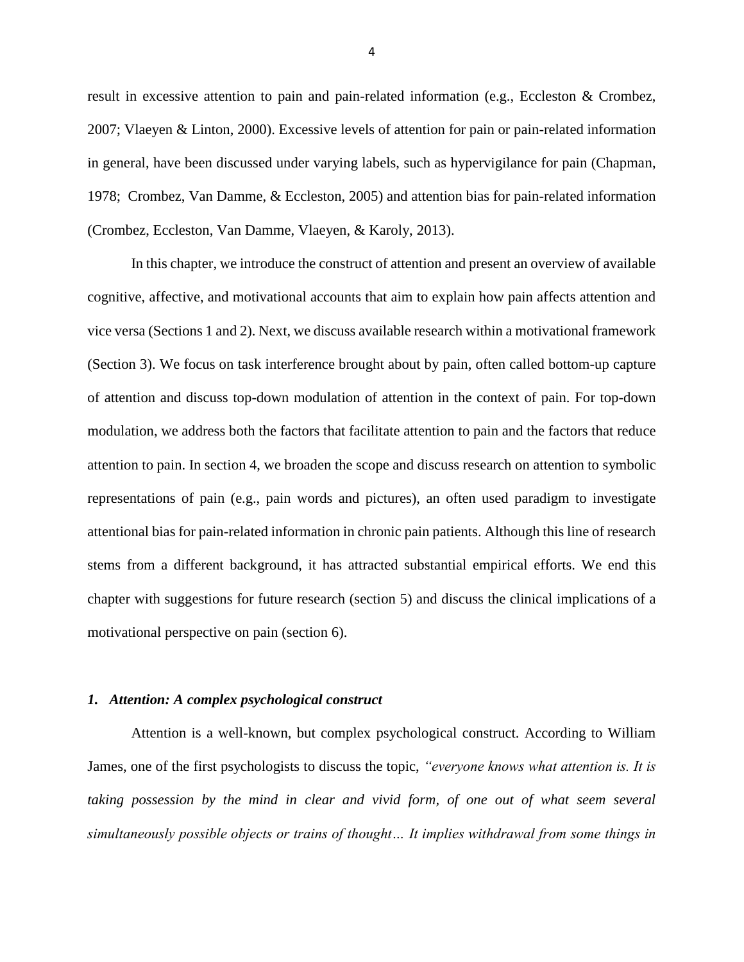result in excessive attention to pain and pain-related information (e.g., Eccleston & Crombez, 2007; Vlaeyen & Linton, 2000). Excessive levels of attention for pain or pain-related information in general, have been discussed under varying labels, such as hypervigilance for pain (Chapman, 1978; Crombez, Van Damme, & Eccleston, 2005) and attention bias for pain-related information (Crombez, Eccleston, Van Damme, Vlaeyen, & Karoly, 2013).

In this chapter, we introduce the construct of attention and present an overview of available cognitive, affective, and motivational accounts that aim to explain how pain affects attention and vice versa (Sections 1 and 2). Next, we discuss available research within a motivational framework (Section 3). We focus on task interference brought about by pain, often called bottom-up capture of attention and discuss top-down modulation of attention in the context of pain. For top-down modulation, we address both the factors that facilitate attention to pain and the factors that reduce attention to pain. In section 4, we broaden the scope and discuss research on attention to symbolic representations of pain (e.g., pain words and pictures), an often used paradigm to investigate attentional bias for pain-related information in chronic pain patients. Although this line of research stems from a different background, it has attracted substantial empirical efforts. We end this chapter with suggestions for future research (section 5) and discuss the clinical implications of a motivational perspective on pain (section 6).

#### *1. Attention: A complex psychological construct*

Attention is a well-known, but complex psychological construct. According to William James, one of the first psychologists to discuss the topic, *"everyone knows what attention is. It is taking possession by the mind in clear and vivid form, of one out of what seem several simultaneously possible objects or trains of thought… It implies withdrawal from some things in*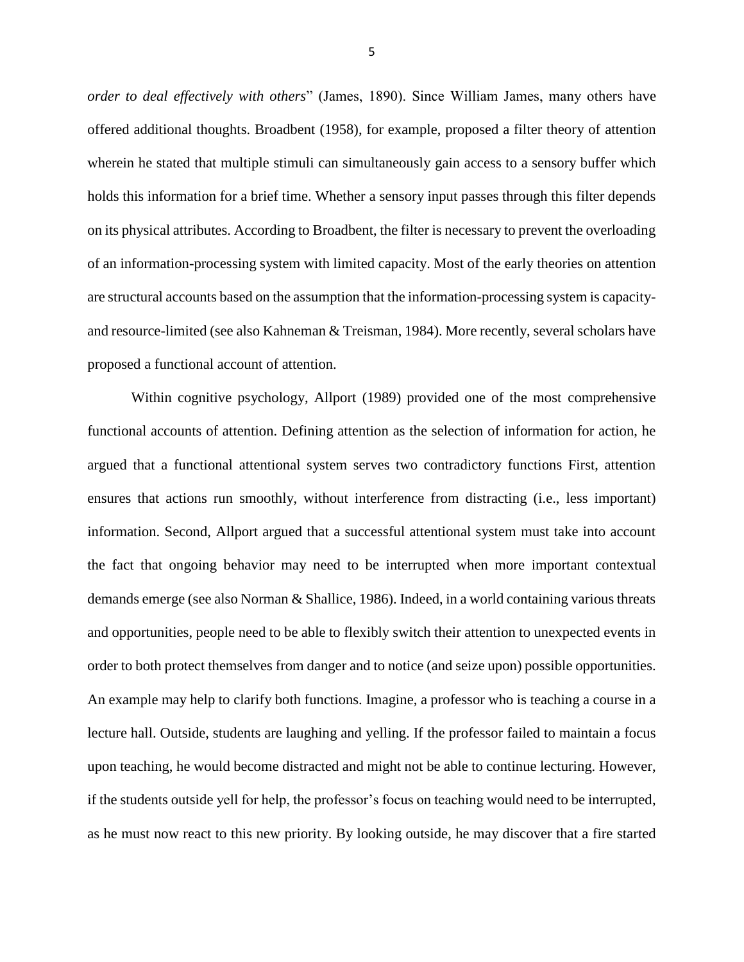*order to deal effectively with others*" (James, 1890). Since William James, many others have offered additional thoughts. Broadbent (1958), for example, proposed a filter theory of attention wherein he stated that multiple stimuli can simultaneously gain access to a sensory buffer which holds this information for a brief time. Whether a sensory input passes through this filter depends on its physical attributes. According to Broadbent, the filter is necessary to prevent the overloading of an information-processing system with limited capacity. Most of the early theories on attention are structural accounts based on the assumption that the information-processing system is capacityand resource-limited (see also Kahneman & Treisman, 1984). More recently, several scholars have proposed a functional account of attention.

Within cognitive psychology, Allport (1989) provided one of the most comprehensive functional accounts of attention. Defining attention as the selection of information for action, he argued that a functional attentional system serves two contradictory functions First, attention ensures that actions run smoothly, without interference from distracting (i.e., less important) information. Second, Allport argued that a successful attentional system must take into account the fact that ongoing behavior may need to be interrupted when more important contextual demands emerge (see also Norman & Shallice, 1986). Indeed, in a world containing various threats and opportunities, people need to be able to flexibly switch their attention to unexpected events in order to both protect themselves from danger and to notice (and seize upon) possible opportunities. An example may help to clarify both functions. Imagine, a professor who is teaching a course in a lecture hall. Outside, students are laughing and yelling. If the professor failed to maintain a focus upon teaching, he would become distracted and might not be able to continue lecturing. However, if the students outside yell for help, the professor's focus on teaching would need to be interrupted, as he must now react to this new priority. By looking outside, he may discover that a fire started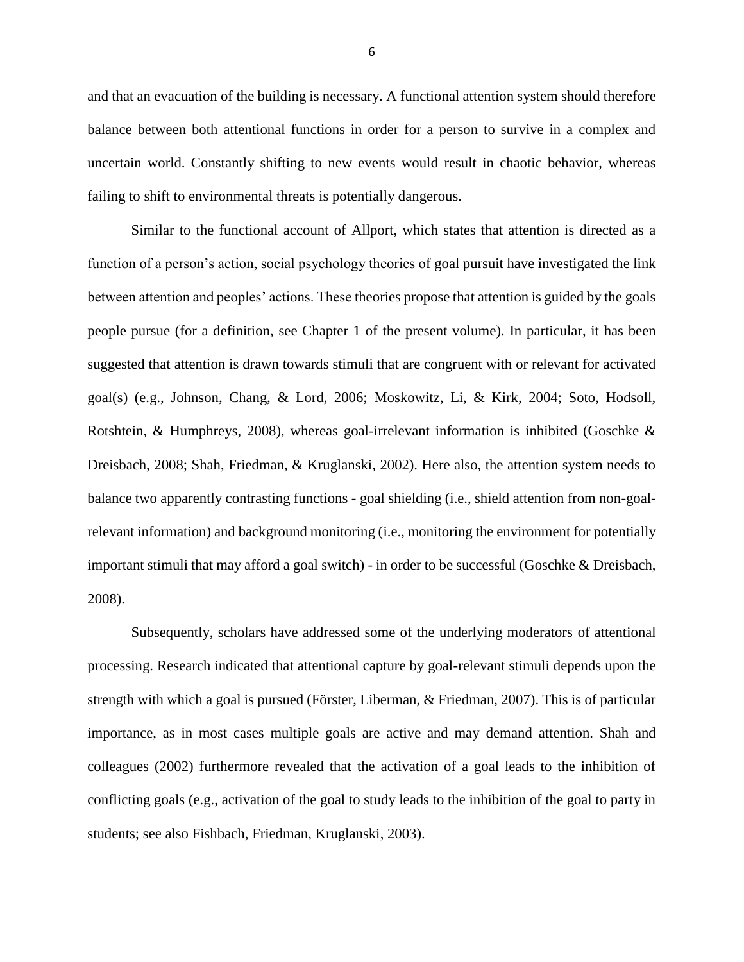and that an evacuation of the building is necessary. A functional attention system should therefore balance between both attentional functions in order for a person to survive in a complex and uncertain world. Constantly shifting to new events would result in chaotic behavior, whereas failing to shift to environmental threats is potentially dangerous.

Similar to the functional account of Allport, which states that attention is directed as a function of a person's action, social psychology theories of goal pursuit have investigated the link between attention and peoples' actions. These theories propose that attention is guided by the goals people pursue (for a definition, see Chapter 1 of the present volume). In particular, it has been suggested that attention is drawn towards stimuli that are congruent with or relevant for activated goal(s) (e.g., Johnson, Chang, & Lord, 2006; Moskowitz, Li, & Kirk, 2004; Soto, Hodsoll, Rotshtein, & Humphreys, 2008), whereas goal-irrelevant information is inhibited (Goschke & Dreisbach, 2008; Shah, Friedman, & Kruglanski, 2002). Here also, the attention system needs to balance two apparently contrasting functions - goal shielding (i.e., shield attention from non-goalrelevant information) and background monitoring (i.e., monitoring the environment for potentially important stimuli that may afford a goal switch) - in order to be successful (Goschke & Dreisbach, 2008).

Subsequently, scholars have addressed some of the underlying moderators of attentional processing. Research indicated that attentional capture by goal-relevant stimuli depends upon the strength with which a goal is pursued (Förster, Liberman, & Friedman, 2007). This is of particular importance, as in most cases multiple goals are active and may demand attention. Shah and colleagues (2002) furthermore revealed that the activation of a goal leads to the inhibition of conflicting goals (e.g., activation of the goal to study leads to the inhibition of the goal to party in students; see also Fishbach, Friedman, Kruglanski, 2003).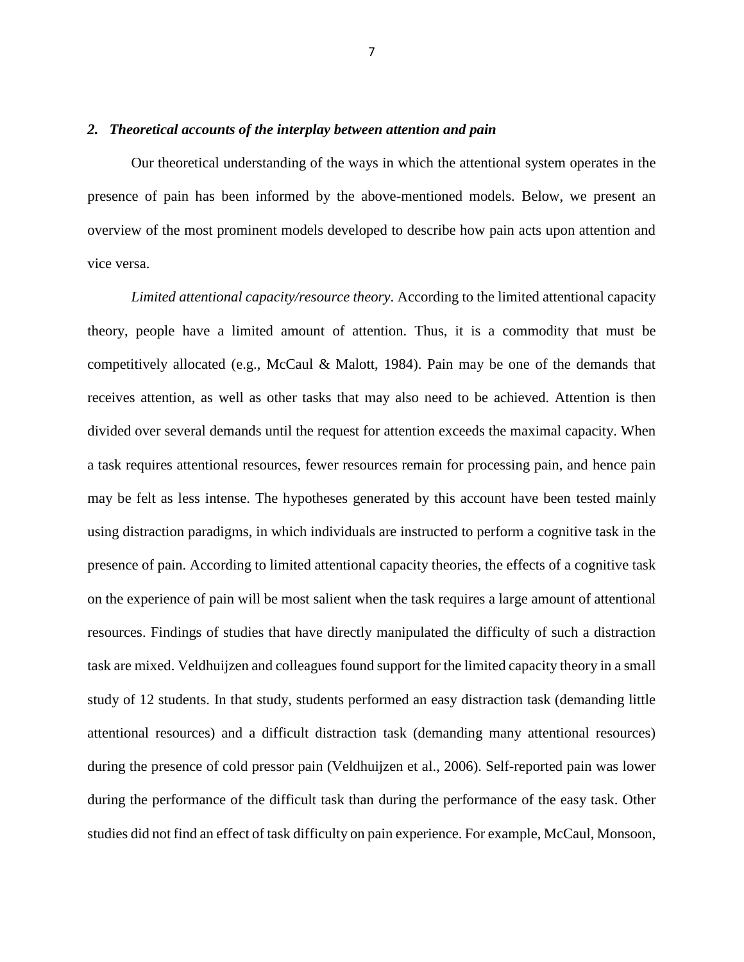### *2. Theoretical accounts of the interplay between attention and pain*

Our theoretical understanding of the ways in which the attentional system operates in the presence of pain has been informed by the above-mentioned models. Below, we present an overview of the most prominent models developed to describe how pain acts upon attention and vice versa.

*Limited attentional capacity/resource theory*. According to the limited attentional capacity theory, people have a limited amount of attention. Thus, it is a commodity that must be competitively allocated (e.g., McCaul & Malott, 1984). Pain may be one of the demands that receives attention, as well as other tasks that may also need to be achieved. Attention is then divided over several demands until the request for attention exceeds the maximal capacity. When a task requires attentional resources, fewer resources remain for processing pain, and hence pain may be felt as less intense. The hypotheses generated by this account have been tested mainly using distraction paradigms, in which individuals are instructed to perform a cognitive task in the presence of pain. According to limited attentional capacity theories, the effects of a cognitive task on the experience of pain will be most salient when the task requires a large amount of attentional resources. Findings of studies that have directly manipulated the difficulty of such a distraction task are mixed. Veldhuijzen and colleagues found support for the limited capacity theory in a small study of 12 students. In that study, students performed an easy distraction task (demanding little attentional resources) and a difficult distraction task (demanding many attentional resources) during the presence of cold pressor pain (Veldhuijzen et al., 2006). Self-reported pain was lower during the performance of the difficult task than during the performance of the easy task. Other studies did not find an effect of task difficulty on pain experience. For example, McCaul, Monsoon,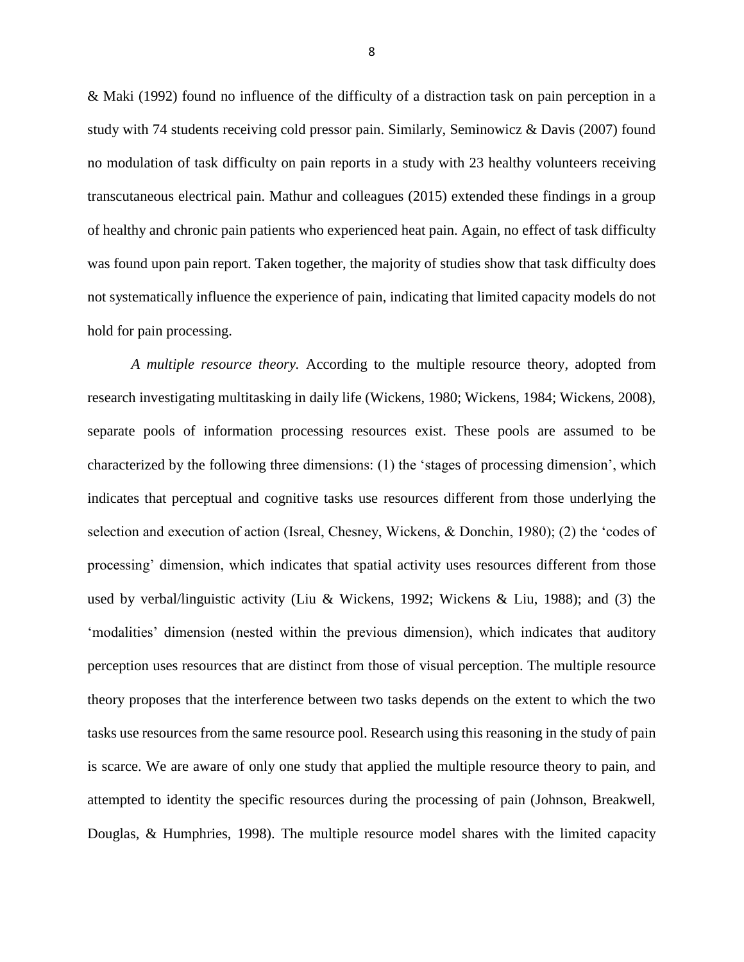& Maki (1992) found no influence of the difficulty of a distraction task on pain perception in a study with 74 students receiving cold pressor pain. Similarly, Seminowicz & Davis (2007) found no modulation of task difficulty on pain reports in a study with 23 healthy volunteers receiving transcutaneous electrical pain. Mathur and colleagues (2015) extended these findings in a group of healthy and chronic pain patients who experienced heat pain. Again, no effect of task difficulty was found upon pain report. Taken together, the majority of studies show that task difficulty does not systematically influence the experience of pain, indicating that limited capacity models do not hold for pain processing.

*A multiple resource theory.* According to the multiple resource theory, adopted from research investigating multitasking in daily life (Wickens, 1980; Wickens, 1984; Wickens, 2008), separate pools of information processing resources exist. These pools are assumed to be characterized by the following three dimensions: (1) the 'stages of processing dimension', which indicates that perceptual and cognitive tasks use resources different from those underlying the selection and execution of action (Isreal, Chesney, Wickens, & Donchin, 1980); (2) the 'codes of processing' dimension, which indicates that spatial activity uses resources different from those used by verbal/linguistic activity (Liu & Wickens, 1992; Wickens & Liu, 1988); and (3) the 'modalities' dimension (nested within the previous dimension), which indicates that auditory perception uses resources that are distinct from those of visual perception. The multiple resource theory proposes that the interference between two tasks depends on the extent to which the two tasks use resources from the same resource pool. Research using this reasoning in the study of pain is scarce. We are aware of only one study that applied the multiple resource theory to pain, and attempted to identity the specific resources during the processing of pain (Johnson, Breakwell, Douglas, & Humphries, 1998). The multiple resource model shares with the limited capacity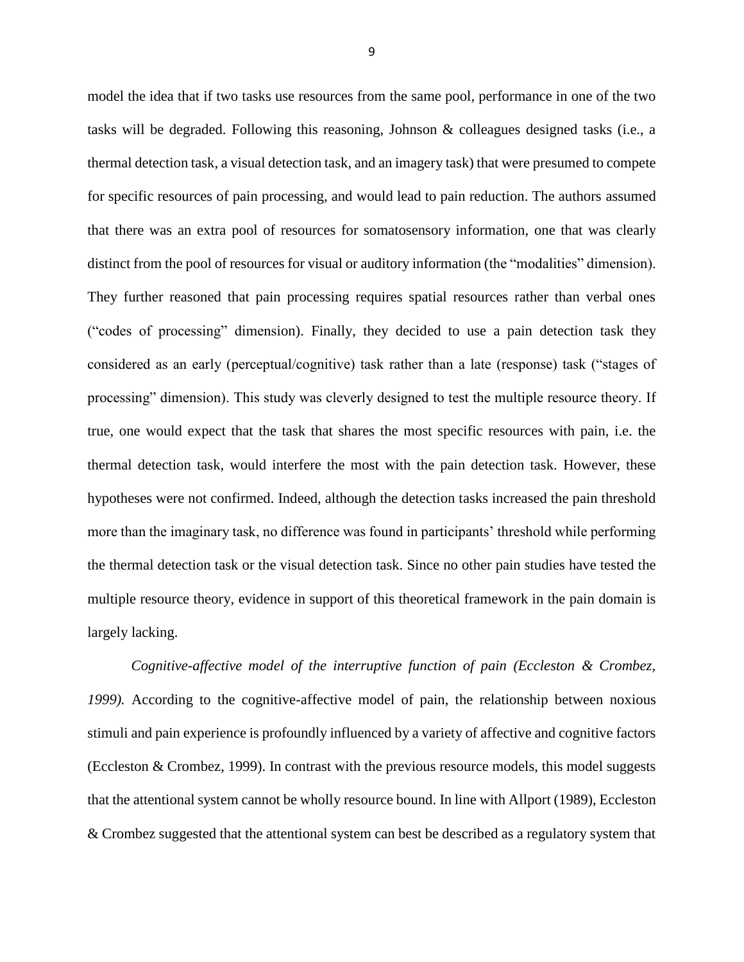model the idea that if two tasks use resources from the same pool, performance in one of the two tasks will be degraded. Following this reasoning, Johnson & colleagues designed tasks (i.e., a thermal detection task, a visual detection task, and an imagery task) that were presumed to compete for specific resources of pain processing, and would lead to pain reduction. The authors assumed that there was an extra pool of resources for somatosensory information, one that was clearly distinct from the pool of resources for visual or auditory information (the "modalities" dimension). They further reasoned that pain processing requires spatial resources rather than verbal ones ("codes of processing" dimension). Finally, they decided to use a pain detection task they considered as an early (perceptual/cognitive) task rather than a late (response) task ("stages of processing" dimension). This study was cleverly designed to test the multiple resource theory. If true, one would expect that the task that shares the most specific resources with pain, i.e. the thermal detection task, would interfere the most with the pain detection task. However, these hypotheses were not confirmed. Indeed, although the detection tasks increased the pain threshold more than the imaginary task, no difference was found in participants' threshold while performing the thermal detection task or the visual detection task. Since no other pain studies have tested the multiple resource theory, evidence in support of this theoretical framework in the pain domain is largely lacking.

*Cognitive-affective model of the interruptive function of pain (Eccleston & Crombez, 1999).* According to the cognitive-affective model of pain, the relationship between noxious stimuli and pain experience is profoundly influenced by a variety of affective and cognitive factors (Eccleston & Crombez, 1999). In contrast with the previous resource models, this model suggests that the attentional system cannot be wholly resource bound. In line with Allport (1989), Eccleston & Crombez suggested that the attentional system can best be described as a regulatory system that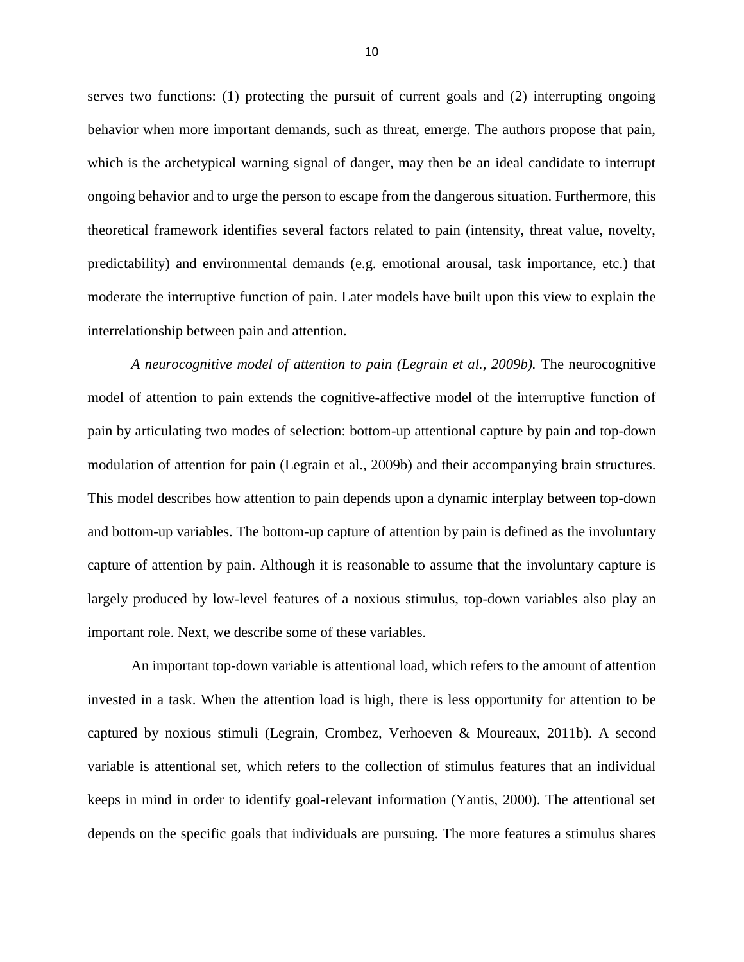serves two functions: (1) protecting the pursuit of current goals and (2) interrupting ongoing behavior when more important demands, such as threat, emerge. The authors propose that pain, which is the archetypical warning signal of danger, may then be an ideal candidate to interrupt ongoing behavior and to urge the person to escape from the dangerous situation. Furthermore, this theoretical framework identifies several factors related to pain (intensity, threat value, novelty, predictability) and environmental demands (e.g. emotional arousal, task importance, etc.) that moderate the interruptive function of pain. Later models have built upon this view to explain the interrelationship between pain and attention.

*A neurocognitive model of attention to pain (Legrain et al., 2009b).* The neurocognitive model of attention to pain extends the cognitive-affective model of the interruptive function of pain by articulating two modes of selection: bottom-up attentional capture by pain and top-down modulation of attention for pain (Legrain et al., 2009b) and their accompanying brain structures. This model describes how attention to pain depends upon a dynamic interplay between top-down and bottom-up variables. The bottom-up capture of attention by pain is defined as the involuntary capture of attention by pain. Although it is reasonable to assume that the involuntary capture is largely produced by low-level features of a noxious stimulus, top-down variables also play an important role. Next, we describe some of these variables.

An important top-down variable is attentional load, which refers to the amount of attention invested in a task. When the attention load is high, there is less opportunity for attention to be captured by noxious stimuli (Legrain, Crombez, Verhoeven & Moureaux, 2011b). A second variable is attentional set, which refers to the collection of stimulus features that an individual keeps in mind in order to identify goal-relevant information (Yantis, 2000). The attentional set depends on the specific goals that individuals are pursuing. The more features a stimulus shares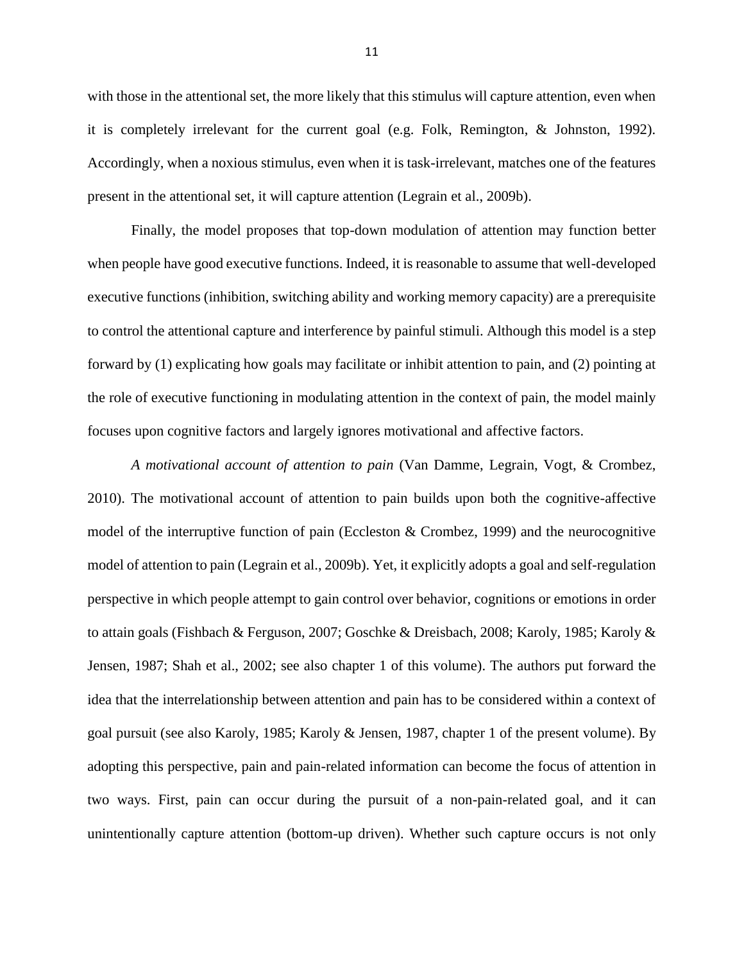with those in the attentional set, the more likely that this stimulus will capture attention, even when it is completely irrelevant for the current goal (e.g. Folk, Remington, & Johnston, 1992). Accordingly, when a noxious stimulus, even when it is task-irrelevant, matches one of the features present in the attentional set, it will capture attention (Legrain et al., 2009b).

Finally, the model proposes that top-down modulation of attention may function better when people have good executive functions. Indeed, it is reasonable to assume that well-developed executive functions (inhibition, switching ability and working memory capacity) are a prerequisite to control the attentional capture and interference by painful stimuli. Although this model is a step forward by (1) explicating how goals may facilitate or inhibit attention to pain, and (2) pointing at the role of executive functioning in modulating attention in the context of pain, the model mainly focuses upon cognitive factors and largely ignores motivational and affective factors.

*A motivational account of attention to pain* (Van Damme, Legrain, Vogt, & Crombez, 2010). The motivational account of attention to pain builds upon both the cognitive-affective model of the interruptive function of pain (Eccleston & Crombez, 1999) and the neurocognitive model of attention to pain (Legrain et al., 2009b). Yet, it explicitly adopts a goal and self-regulation perspective in which people attempt to gain control over behavior, cognitions or emotions in order to attain goals (Fishbach & Ferguson, 2007; Goschke & Dreisbach, 2008; Karoly, 1985; Karoly & Jensen, 1987; Shah et al., 2002; see also chapter 1 of this volume). The authors put forward the idea that the interrelationship between attention and pain has to be considered within a context of goal pursuit (see also Karoly, 1985; Karoly & Jensen, 1987, chapter 1 of the present volume). By adopting this perspective, pain and pain-related information can become the focus of attention in two ways. First, pain can occur during the pursuit of a non-pain-related goal, and it can unintentionally capture attention (bottom-up driven). Whether such capture occurs is not only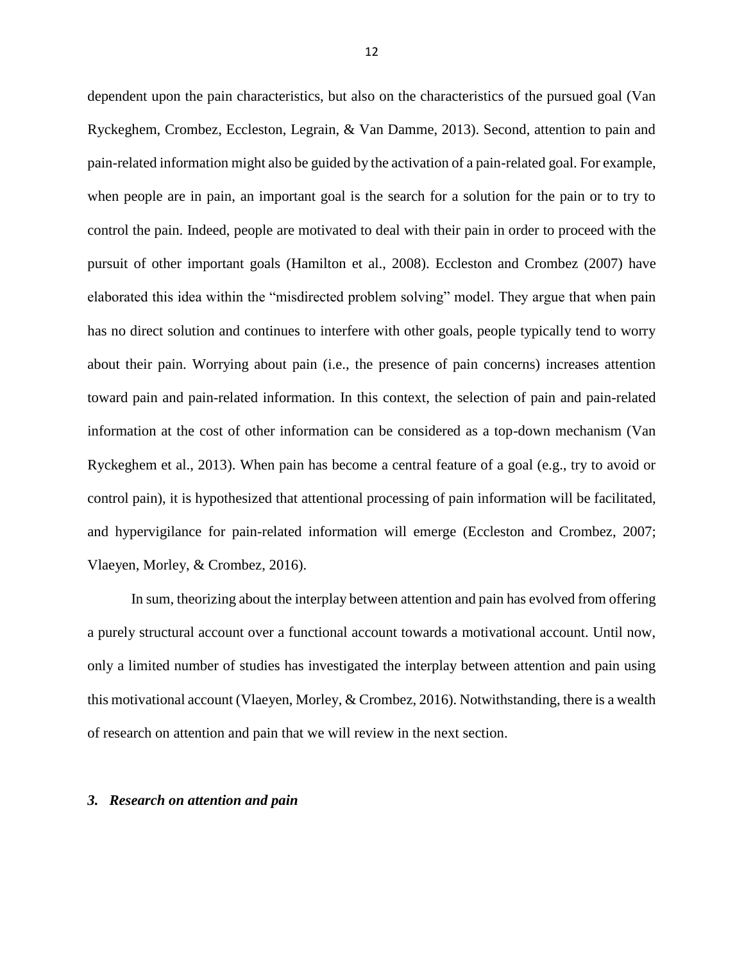dependent upon the pain characteristics, but also on the characteristics of the pursued goal (Van Ryckeghem, Crombez, Eccleston, Legrain, & Van Damme, 2013). Second, attention to pain and pain-related information might also be guided by the activation of a pain-related goal. For example, when people are in pain, an important goal is the search for a solution for the pain or to try to control the pain. Indeed, people are motivated to deal with their pain in order to proceed with the pursuit of other important goals (Hamilton et al., 2008). Eccleston and Crombez (2007) have elaborated this idea within the "misdirected problem solving" model. They argue that when pain has no direct solution and continues to interfere with other goals, people typically tend to worry about their pain. Worrying about pain (i.e., the presence of pain concerns) increases attention toward pain and pain-related information. In this context, the selection of pain and pain-related information at the cost of other information can be considered as a top-down mechanism (Van Ryckeghem et al., 2013). When pain has become a central feature of a goal (e.g., try to avoid or control pain), it is hypothesized that attentional processing of pain information will be facilitated, and hypervigilance for pain-related information will emerge (Eccleston and Crombez, 2007; Vlaeyen, Morley, & Crombez, 2016).

In sum, theorizing about the interplay between attention and pain has evolved from offering a purely structural account over a functional account towards a motivational account. Until now, only a limited number of studies has investigated the interplay between attention and pain using this motivational account (Vlaeyen, Morley, & Crombez, 2016). Notwithstanding, there is a wealth of research on attention and pain that we will review in the next section.

## *3. Research on attention and pain*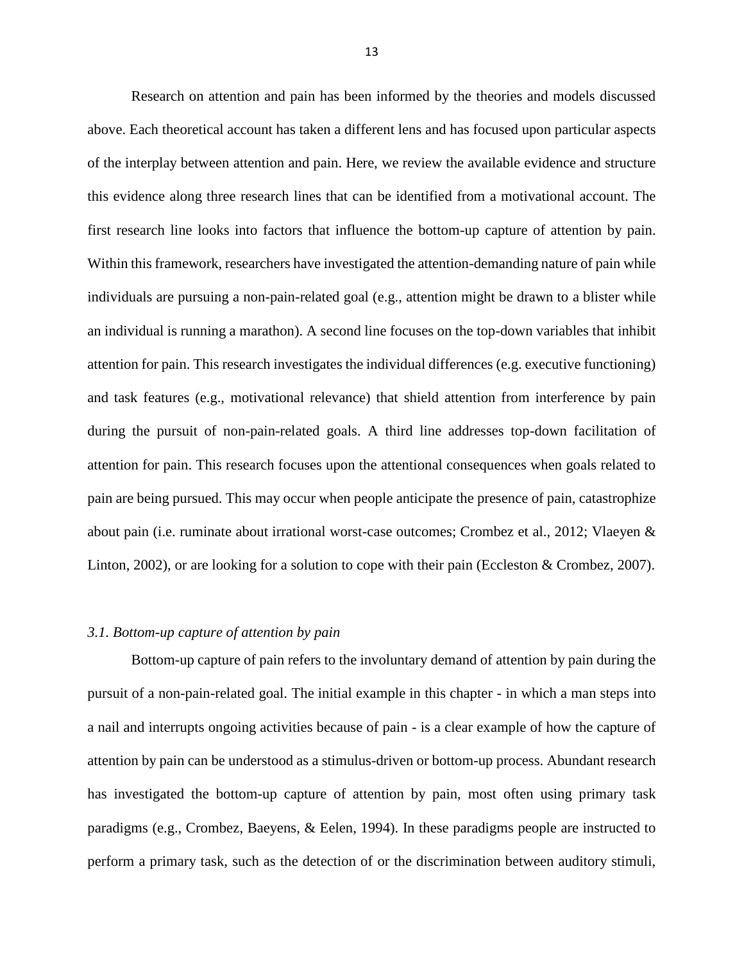Research on attention and pain has been informed by the theories and models discussed above. Each theoretical account has taken a different lens and has focused upon particular aspects of the interplay between attention and pain. Here, we review the available evidence and structure this evidence along three research lines that can be identified from a motivational account. The first research line looks into factors that influence the bottom-up capture of attention by pain. Within this framework, researchers have investigated the attention-demanding nature of pain while individuals are pursuing a non-pain-related goal (e.g., attention might be drawn to a blister while an individual is running a marathon). A second line focuses on the top-down variables that inhibit attention for pain. This research investigates the individual differences (e.g. executive functioning) and task features (e.g., motivational relevance) that shield attention from interference by pain during the pursuit of non-pain-related goals. A third line addresses top-down facilitation of attention for pain. This research focuses upon the attentional consequences when goals related to pain are being pursued. This may occur when people anticipate the presence of pain, catastrophize about pain (i.e. ruminate about irrational worst-case outcomes; Crombez et al., 2012; Vlaeyen & Linton, 2002), or are looking for a solution to cope with their pain (Eccleston & Crombez, 2007).

### *3.1. Bottom-up capture of attention by pain*

Bottom-up capture of pain refers to the involuntary demand of attention by pain during the pursuit of a non-pain-related goal. The initial example in this chapter - in which a man steps into a nail and interrupts ongoing activities because of pain - is a clear example of how the capture of attention by pain can be understood as a stimulus-driven or bottom-up process. Abundant research has investigated the bottom-up capture of attention by pain, most often using primary task paradigms (e.g., Crombez, Baeyens, & Eelen, 1994). In these paradigms people are instructed to perform a primary task, such as the detection of or the discrimination between auditory stimuli,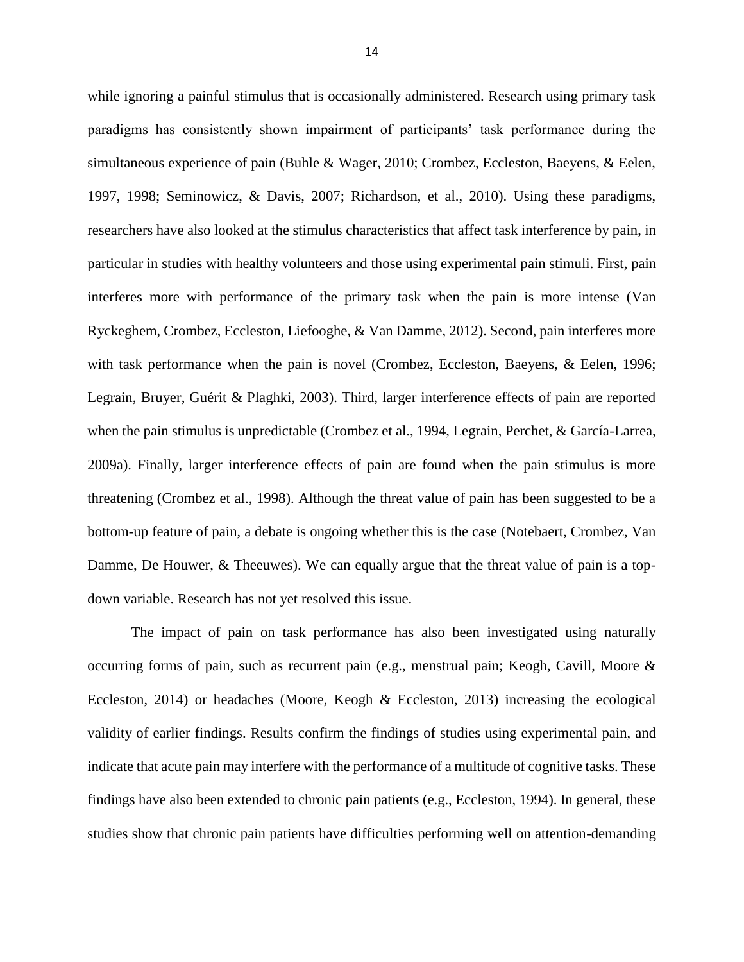while ignoring a painful stimulus that is occasionally administered. Research using primary task paradigms has consistently shown impairment of participants' task performance during the simultaneous experience of pain (Buhle & Wager, 2010; Crombez, Eccleston, Baeyens, & Eelen, 1997, 1998; Seminowicz, & Davis, 2007; Richardson, et al., 2010). Using these paradigms, researchers have also looked at the stimulus characteristics that affect task interference by pain, in particular in studies with healthy volunteers and those using experimental pain stimuli. First, pain interferes more with performance of the primary task when the pain is more intense (Van Ryckeghem, Crombez, Eccleston, Liefooghe, & Van Damme, 2012). Second, pain interferes more with task performance when the pain is novel (Crombez, Eccleston, Baeyens, & Eelen, 1996; Legrain, Bruyer, Guérit & Plaghki, 2003). Third, larger interference effects of pain are reported when the pain stimulus is unpredictable (Crombez et al., 1994, Legrain, Perchet, & García-Larrea, 2009a). Finally, larger interference effects of pain are found when the pain stimulus is more threatening (Crombez et al., 1998). Although the threat value of pain has been suggested to be a bottom-up feature of pain, a debate is ongoing whether this is the case (Notebaert, Crombez, Van Damme, De Houwer, & Theeuwes). We can equally argue that the threat value of pain is a topdown variable. Research has not yet resolved this issue.

The impact of pain on task performance has also been investigated using naturally occurring forms of pain, such as recurrent pain (e.g., menstrual pain; Keogh, Cavill, Moore & Eccleston, 2014) or headaches (Moore, Keogh & Eccleston, 2013) increasing the ecological validity of earlier findings. Results confirm the findings of studies using experimental pain, and indicate that acute pain may interfere with the performance of a multitude of cognitive tasks. These findings have also been extended to chronic pain patients (e.g., Eccleston, 1994). In general, these studies show that chronic pain patients have difficulties performing well on attention-demanding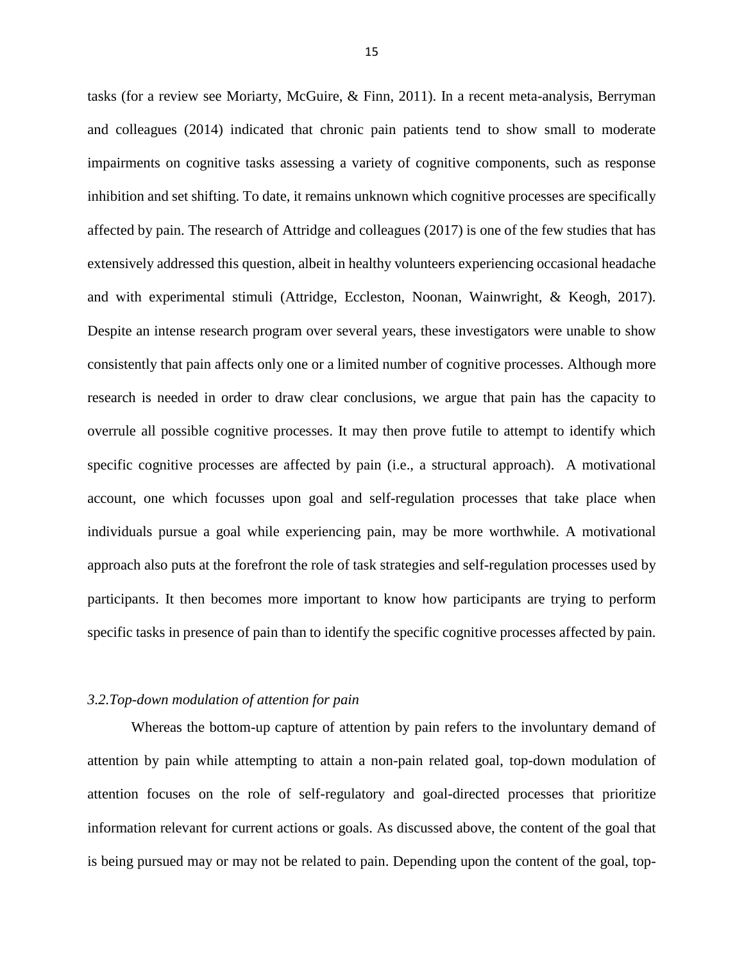tasks (for a review see Moriarty, McGuire, & Finn, 2011). In a recent meta-analysis, Berryman and colleagues (2014) indicated that chronic pain patients tend to show small to moderate impairments on cognitive tasks assessing a variety of cognitive components, such as response inhibition and set shifting. To date, it remains unknown which cognitive processes are specifically affected by pain. The research of Attridge and colleagues (2017) is one of the few studies that has extensively addressed this question, albeit in healthy volunteers experiencing occasional headache and with experimental stimuli (Attridge, Eccleston, Noonan, Wainwright, & Keogh, 2017). Despite an intense research program over several years, these investigators were unable to show consistently that pain affects only one or a limited number of cognitive processes. Although more research is needed in order to draw clear conclusions, we argue that pain has the capacity to overrule all possible cognitive processes. It may then prove futile to attempt to identify which specific cognitive processes are affected by pain (i.e., a structural approach). A motivational account, one which focusses upon goal and self-regulation processes that take place when individuals pursue a goal while experiencing pain, may be more worthwhile. A motivational approach also puts at the forefront the role of task strategies and self-regulation processes used by participants. It then becomes more important to know how participants are trying to perform specific tasks in presence of pain than to identify the specific cognitive processes affected by pain.

#### *3.2.Top-down modulation of attention for pain*

Whereas the bottom-up capture of attention by pain refers to the involuntary demand of attention by pain while attempting to attain a non-pain related goal, top-down modulation of attention focuses on the role of self-regulatory and goal-directed processes that prioritize information relevant for current actions or goals. As discussed above, the content of the goal that is being pursued may or may not be related to pain. Depending upon the content of the goal, top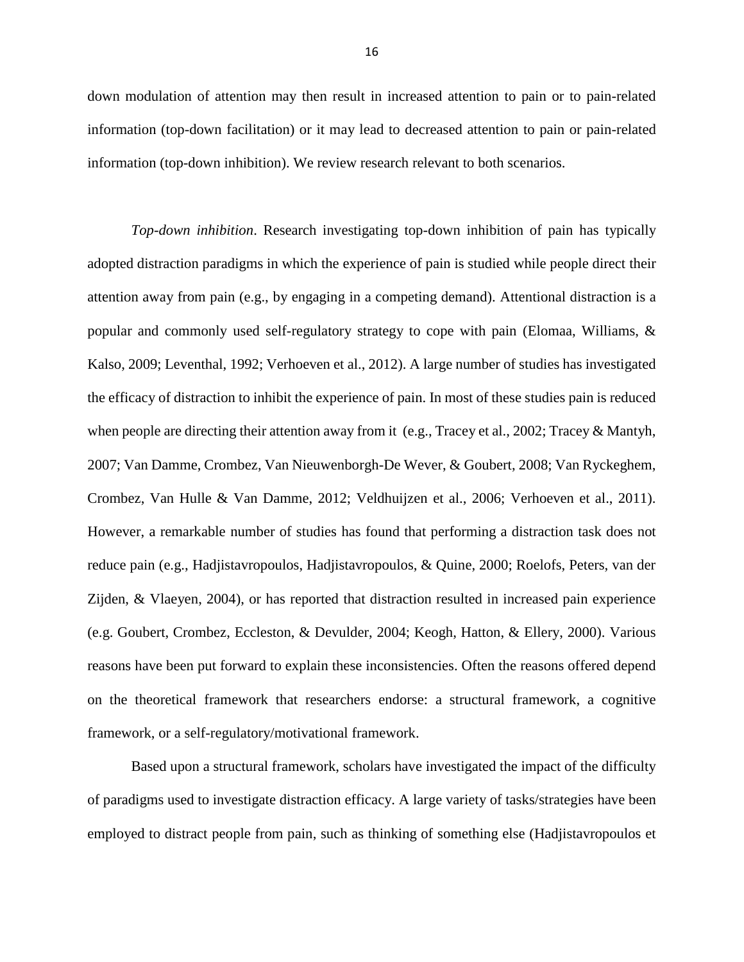down modulation of attention may then result in increased attention to pain or to pain-related information (top-down facilitation) or it may lead to decreased attention to pain or pain-related information (top-down inhibition). We review research relevant to both scenarios.

*Top-down inhibition*. Research investigating top-down inhibition of pain has typically adopted distraction paradigms in which the experience of pain is studied while people direct their attention away from pain (e.g., by engaging in a competing demand). Attentional distraction is a popular and commonly used self-regulatory strategy to cope with pain (Elomaa, Williams, & Kalso, 2009; Leventhal, 1992; Verhoeven et al., 2012). A large number of studies has investigated the efficacy of distraction to inhibit the experience of pain. In most of these studies pain is reduced when people are directing their attention away from it (e.g., Tracey et al., 2002; Tracey & Mantyh, 2007; Van Damme, Crombez, Van Nieuwenborgh-De Wever, & Goubert, 2008; Van Ryckeghem, Crombez, Van Hulle & Van Damme, 2012; Veldhuijzen et al., 2006; Verhoeven et al., 2011). However, a remarkable number of studies has found that performing a distraction task does not reduce pain (e.g., Hadjistavropoulos, Hadjistavropoulos, & Quine, 2000; Roelofs, Peters, van der Zijden, & Vlaeyen, 2004), or has reported that distraction resulted in increased pain experience (e.g. Goubert, Crombez, Eccleston, & Devulder, 2004; Keogh, Hatton, & Ellery, 2000). Various reasons have been put forward to explain these inconsistencies. Often the reasons offered depend on the theoretical framework that researchers endorse: a structural framework, a cognitive framework, or a self-regulatory/motivational framework.

Based upon a structural framework, scholars have investigated the impact of the difficulty of paradigms used to investigate distraction efficacy. A large variety of tasks/strategies have been employed to distract people from pain, such as thinking of something else (Hadjistavropoulos et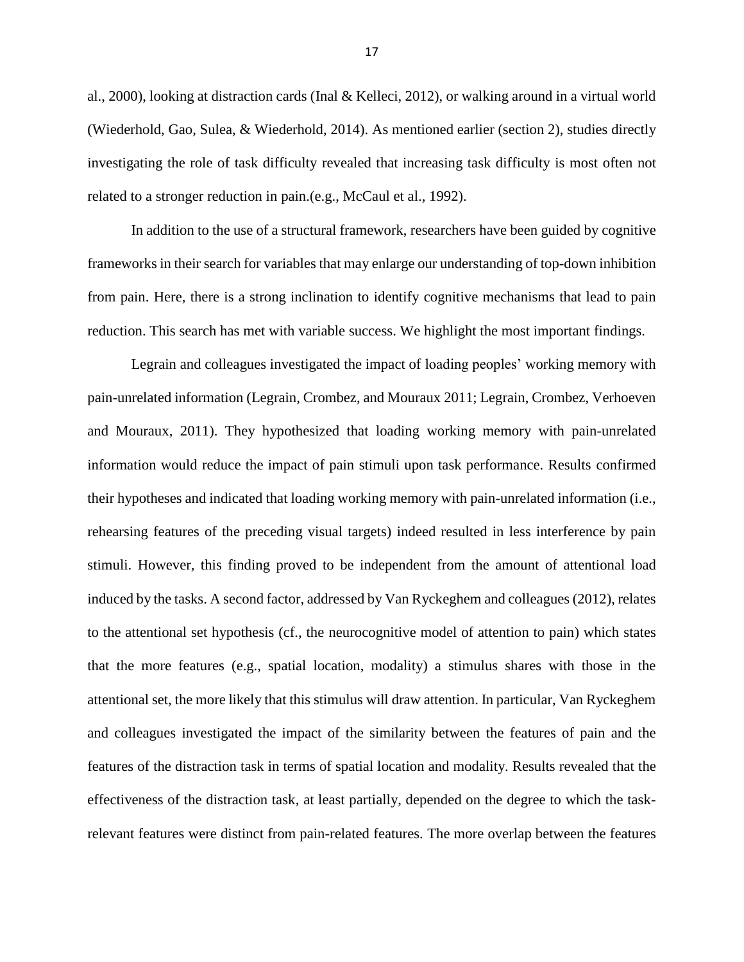al., 2000), looking at distraction cards (Inal & Kelleci, 2012), or walking around in a virtual world (Wiederhold, Gao, Sulea, & Wiederhold, 2014). As mentioned earlier (section 2), studies directly investigating the role of task difficulty revealed that increasing task difficulty is most often not related to a stronger reduction in pain.(e.g., McCaul et al., 1992).

In addition to the use of a structural framework, researchers have been guided by cognitive frameworks in their search for variables that may enlarge our understanding of top-down inhibition from pain. Here, there is a strong inclination to identify cognitive mechanisms that lead to pain reduction. This search has met with variable success. We highlight the most important findings.

Legrain and colleagues investigated the impact of loading peoples' working memory with pain-unrelated information (Legrain, Crombez, and Mouraux 2011; Legrain, Crombez, Verhoeven and Mouraux, 2011). They hypothesized that loading working memory with pain-unrelated information would reduce the impact of pain stimuli upon task performance. Results confirmed their hypotheses and indicated that loading working memory with pain-unrelated information (i.e., rehearsing features of the preceding visual targets) indeed resulted in less interference by pain stimuli. However, this finding proved to be independent from the amount of attentional load induced by the tasks. A second factor, addressed by Van Ryckeghem and colleagues (2012), relates to the attentional set hypothesis (cf., the neurocognitive model of attention to pain) which states that the more features (e.g., spatial location, modality) a stimulus shares with those in the attentional set, the more likely that this stimulus will draw attention. In particular, Van Ryckeghem and colleagues investigated the impact of the similarity between the features of pain and the features of the distraction task in terms of spatial location and modality. Results revealed that the effectiveness of the distraction task, at least partially, depended on the degree to which the taskrelevant features were distinct from pain-related features. The more overlap between the features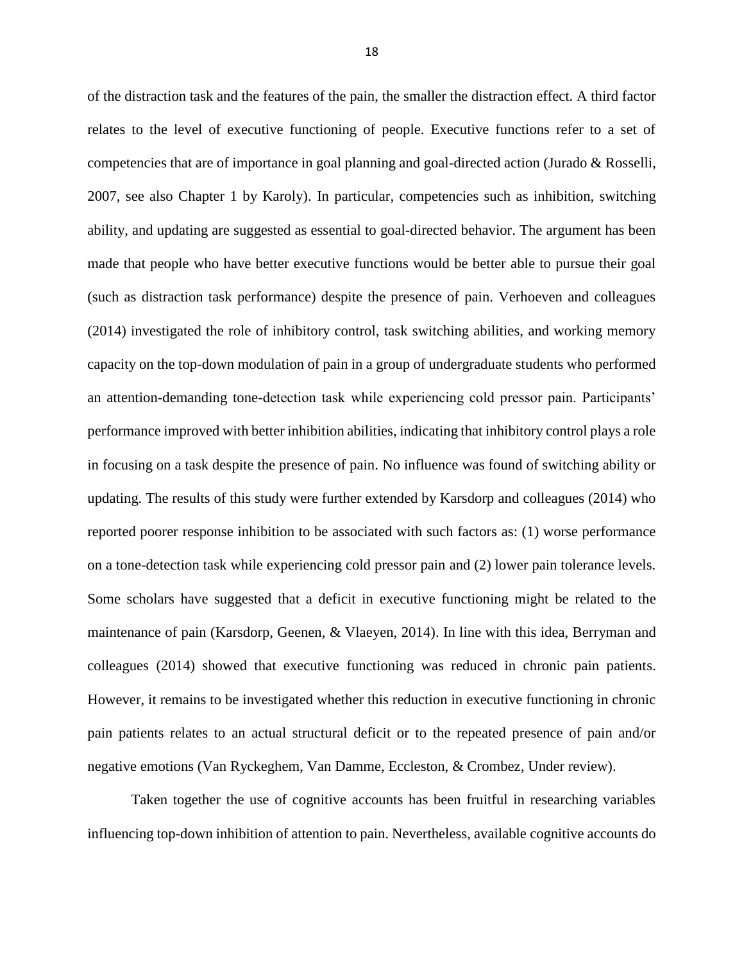of the distraction task and the features of the pain, the smaller the distraction effect. A third factor relates to the level of executive functioning of people. Executive functions refer to a set of competencies that are of importance in goal planning and goal-directed action (Jurado & Rosselli, 2007, see also Chapter 1 by Karoly). In particular, competencies such as inhibition, switching ability, and updating are suggested as essential to goal-directed behavior. The argument has been made that people who have better executive functions would be better able to pursue their goal (such as distraction task performance) despite the presence of pain. Verhoeven and colleagues (2014) investigated the role of inhibitory control, task switching abilities, and working memory capacity on the top-down modulation of pain in a group of undergraduate students who performed an attention-demanding tone-detection task while experiencing cold pressor pain. Participants' performance improved with better inhibition abilities, indicating that inhibitory control plays a role in focusing on a task despite the presence of pain. No influence was found of switching ability or updating. The results of this study were further extended by Karsdorp and colleagues (2014) who reported poorer response inhibition to be associated with such factors as: (1) worse performance on a tone-detection task while experiencing cold pressor pain and (2) lower pain tolerance levels. Some scholars have suggested that a deficit in executive functioning might be related to the maintenance of pain (Karsdorp, Geenen, & Vlaeyen, 2014). In line with this idea, Berryman and colleagues (2014) showed that executive functioning was reduced in chronic pain patients. However, it remains to be investigated whether this reduction in executive functioning in chronic pain patients relates to an actual structural deficit or to the repeated presence of pain and/or negative emotions (Van Ryckeghem, Van Damme, Eccleston, & Crombez, Under review).

Taken together the use of cognitive accounts has been fruitful in researching variables influencing top-down inhibition of attention to pain. Nevertheless, available cognitive accounts do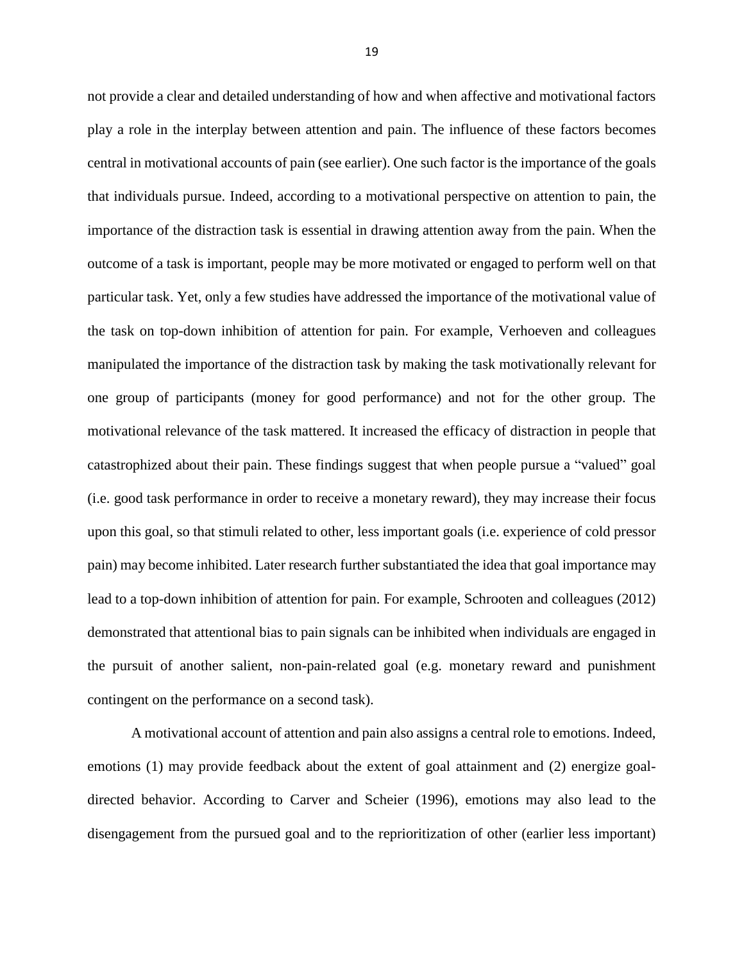not provide a clear and detailed understanding of how and when affective and motivational factors play a role in the interplay between attention and pain. The influence of these factors becomes central in motivational accounts of pain (see earlier). One such factor is the importance of the goals that individuals pursue. Indeed, according to a motivational perspective on attention to pain, the importance of the distraction task is essential in drawing attention away from the pain. When the outcome of a task is important, people may be more motivated or engaged to perform well on that particular task. Yet, only a few studies have addressed the importance of the motivational value of the task on top-down inhibition of attention for pain. For example, Verhoeven and colleagues manipulated the importance of the distraction task by making the task motivationally relevant for one group of participants (money for good performance) and not for the other group. The motivational relevance of the task mattered. It increased the efficacy of distraction in people that catastrophized about their pain. These findings suggest that when people pursue a "valued" goal (i.e. good task performance in order to receive a monetary reward), they may increase their focus upon this goal, so that stimuli related to other, less important goals (i.e. experience of cold pressor pain) may become inhibited. Later research further substantiated the idea that goal importance may lead to a top-down inhibition of attention for pain. For example, Schrooten and colleagues (2012) demonstrated that attentional bias to pain signals can be inhibited when individuals are engaged in the pursuit of another salient, non-pain-related goal (e.g. monetary reward and punishment contingent on the performance on a second task).

A motivational account of attention and pain also assigns a central role to emotions. Indeed, emotions (1) may provide feedback about the extent of goal attainment and (2) energize goaldirected behavior. According to Carver and Scheier (1996), emotions may also lead to the disengagement from the pursued goal and to the reprioritization of other (earlier less important)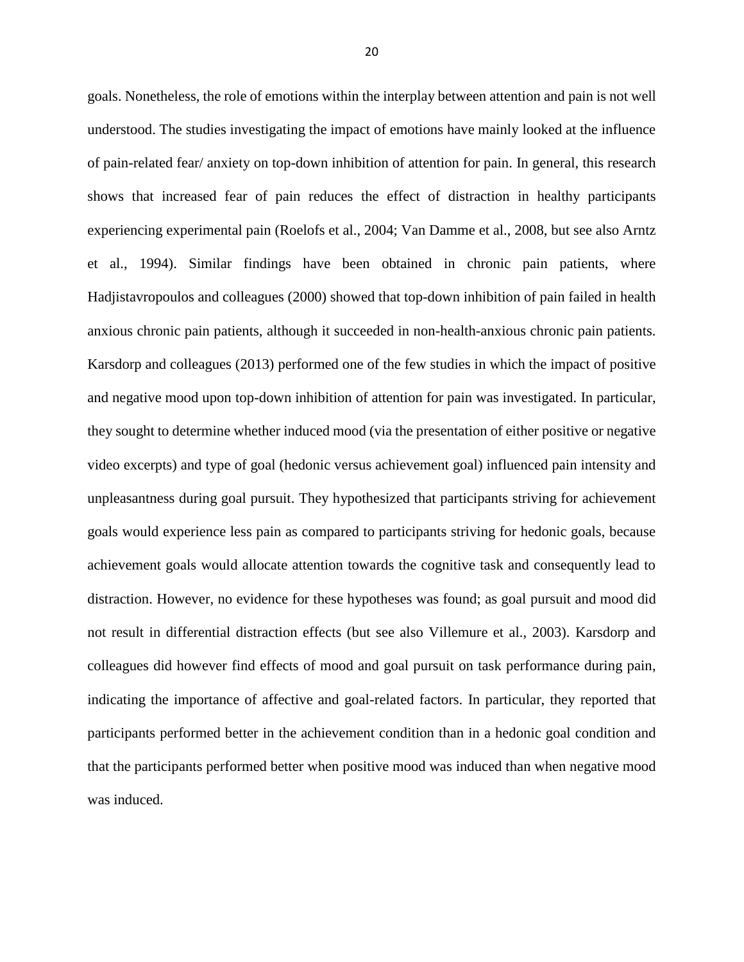goals. Nonetheless, the role of emotions within the interplay between attention and pain is not well understood. The studies investigating the impact of emotions have mainly looked at the influence of pain-related fear/ anxiety on top-down inhibition of attention for pain. In general, this research shows that increased fear of pain reduces the effect of distraction in healthy participants experiencing experimental pain (Roelofs et al., 2004; Van Damme et al., 2008, but see also Arntz et al., 1994). Similar findings have been obtained in chronic pain patients, where Hadjistavropoulos and colleagues (2000) showed that top-down inhibition of pain failed in health anxious chronic pain patients, although it succeeded in non-health-anxious chronic pain patients. Karsdorp and colleagues (2013) performed one of the few studies in which the impact of positive and negative mood upon top-down inhibition of attention for pain was investigated. In particular, they sought to determine whether induced mood (via the presentation of either positive or negative video excerpts) and type of goal (hedonic versus achievement goal) influenced pain intensity and unpleasantness during goal pursuit. They hypothesized that participants striving for achievement goals would experience less pain as compared to participants striving for hedonic goals, because achievement goals would allocate attention towards the cognitive task and consequently lead to distraction. However, no evidence for these hypotheses was found; as goal pursuit and mood did not result in differential distraction effects (but see also Villemure et al., 2003). Karsdorp and colleagues did however find effects of mood and goal pursuit on task performance during pain, indicating the importance of affective and goal-related factors. In particular, they reported that participants performed better in the achievement condition than in a hedonic goal condition and that the participants performed better when positive mood was induced than when negative mood was induced.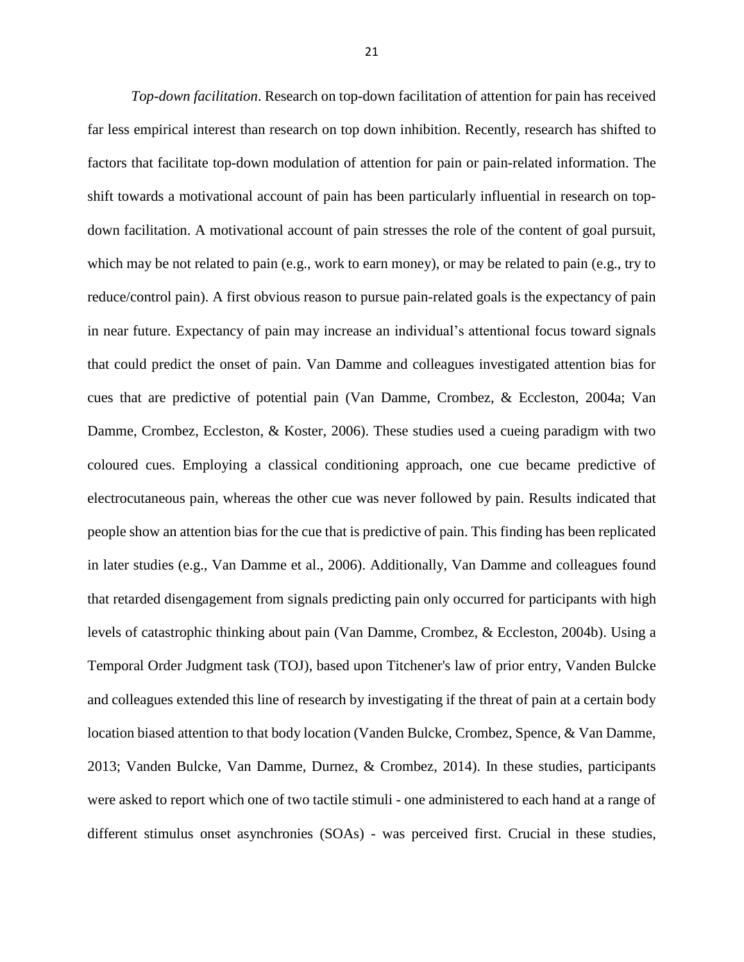*Top-down facilitation*. Research on top-down facilitation of attention for pain has received far less empirical interest than research on top down inhibition. Recently, research has shifted to factors that facilitate top-down modulation of attention for pain or pain-related information. The shift towards a motivational account of pain has been particularly influential in research on topdown facilitation. A motivational account of pain stresses the role of the content of goal pursuit, which may be not related to pain (e.g., work to earn money), or may be related to pain (e.g., try to reduce/control pain). A first obvious reason to pursue pain-related goals is the expectancy of pain in near future. Expectancy of pain may increase an individual's attentional focus toward signals that could predict the onset of pain. Van Damme and colleagues investigated attention bias for cues that are predictive of potential pain (Van Damme, Crombez, & Eccleston, 2004a; Van Damme, Crombez, Eccleston, & Koster, 2006). These studies used a cueing paradigm with two coloured cues. Employing a classical conditioning approach, one cue became predictive of electrocutaneous pain, whereas the other cue was never followed by pain. Results indicated that people show an attention bias for the cue that is predictive of pain. This finding has been replicated in later studies (e.g., Van Damme et al., 2006). Additionally, Van Damme and colleagues found that retarded disengagement from signals predicting pain only occurred for participants with high levels of catastrophic thinking about pain (Van Damme, Crombez, & Eccleston, 2004b). Using a Temporal Order Judgment task (TOJ), based upon Titchener's law of prior entry, Vanden Bulcke and colleagues extended this line of research by investigating if the threat of pain at a certain body location biased attention to that body location (Vanden Bulcke, Crombez, Spence, & Van Damme, 2013; Vanden Bulcke, Van Damme, Durnez, & Crombez, 2014). In these studies, participants were asked to report which one of two tactile stimuli - one administered to each hand at a range of different stimulus onset asynchronies (SOAs) - was perceived first. Crucial in these studies,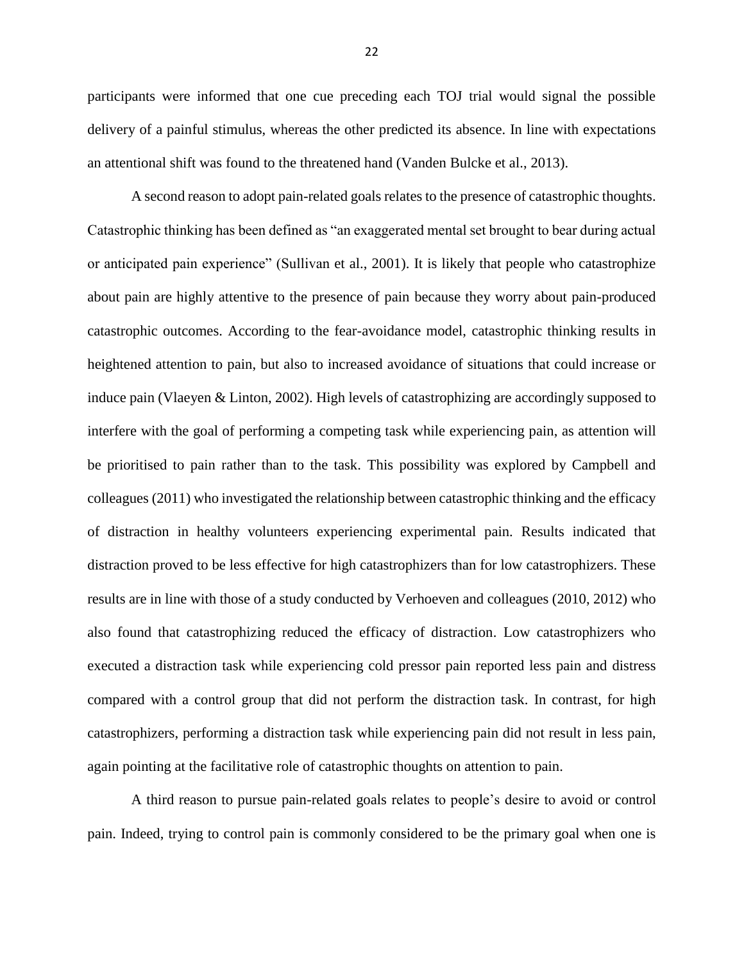participants were informed that one cue preceding each TOJ trial would signal the possible delivery of a painful stimulus, whereas the other predicted its absence. In line with expectations an attentional shift was found to the threatened hand (Vanden Bulcke et al., 2013).

A second reason to adopt pain-related goals relates to the presence of catastrophic thoughts. Catastrophic thinking has been defined as "an exaggerated mental set brought to bear during actual or anticipated pain experience" (Sullivan et al., 2001). It is likely that people who catastrophize about pain are highly attentive to the presence of pain because they worry about pain-produced catastrophic outcomes. According to the fear-avoidance model, catastrophic thinking results in heightened attention to pain, but also to increased avoidance of situations that could increase or induce pain (Vlaeyen & Linton, 2002). High levels of catastrophizing are accordingly supposed to interfere with the goal of performing a competing task while experiencing pain, as attention will be prioritised to pain rather than to the task. This possibility was explored by Campbell and colleagues (2011) who investigated the relationship between catastrophic thinking and the efficacy of distraction in healthy volunteers experiencing experimental pain. Results indicated that distraction proved to be less effective for high catastrophizers than for low catastrophizers. These results are in line with those of a study conducted by Verhoeven and colleagues (2010, 2012) who also found that catastrophizing reduced the efficacy of distraction. Low catastrophizers who executed a distraction task while experiencing cold pressor pain reported less pain and distress compared with a control group that did not perform the distraction task. In contrast, for high catastrophizers, performing a distraction task while experiencing pain did not result in less pain, again pointing at the facilitative role of catastrophic thoughts on attention to pain.

A third reason to pursue pain-related goals relates to people's desire to avoid or control pain. Indeed, trying to control pain is commonly considered to be the primary goal when one is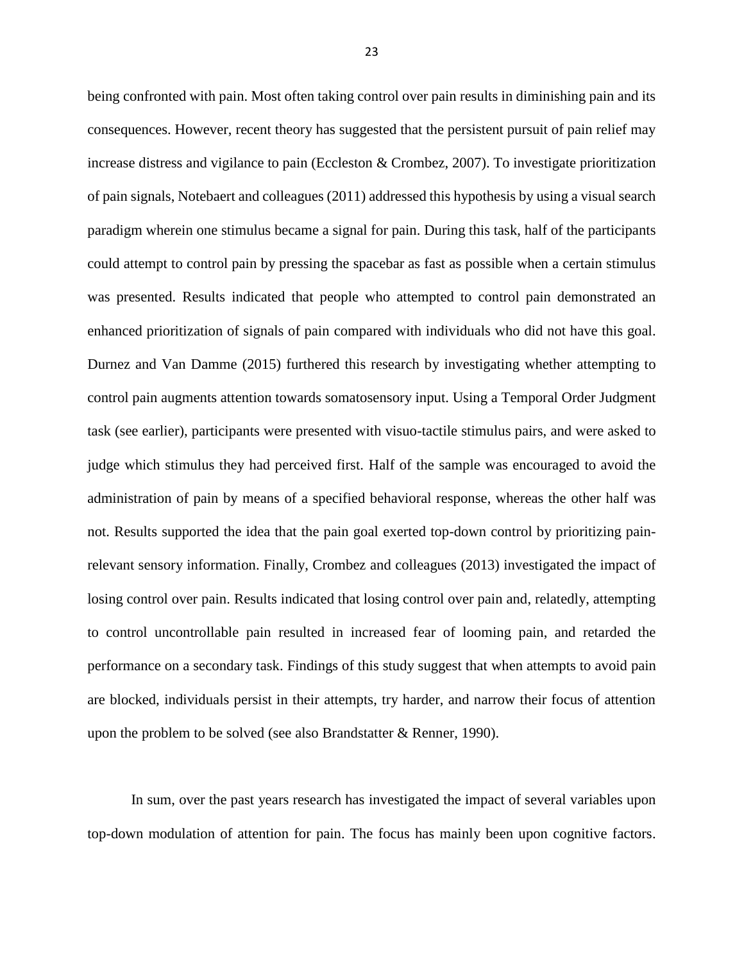being confronted with pain. Most often taking control over pain results in diminishing pain and its consequences. However, recent theory has suggested that the persistent pursuit of pain relief may increase distress and vigilance to pain (Eccleston & Crombez, 2007). To investigate prioritization of pain signals, Notebaert and colleagues (2011) addressed this hypothesis by using a visual search paradigm wherein one stimulus became a signal for pain. During this task, half of the participants could attempt to control pain by pressing the spacebar as fast as possible when a certain stimulus was presented. Results indicated that people who attempted to control pain demonstrated an enhanced prioritization of signals of pain compared with individuals who did not have this goal. Durnez and Van Damme (2015) furthered this research by investigating whether attempting to control pain augments attention towards somatosensory input. Using a Temporal Order Judgment task (see earlier), participants were presented with visuo-tactile stimulus pairs, and were asked to judge which stimulus they had perceived first. Half of the sample was encouraged to avoid the administration of pain by means of a specified behavioral response, whereas the other half was not. Results supported the idea that the pain goal exerted top-down control by prioritizing painrelevant sensory information. Finally, Crombez and colleagues (2013) investigated the impact of losing control over pain. Results indicated that losing control over pain and, relatedly, attempting to control uncontrollable pain resulted in increased fear of looming pain, and retarded the performance on a secondary task. Findings of this study suggest that when attempts to avoid pain are blocked, individuals persist in their attempts, try harder, and narrow their focus of attention upon the problem to be solved (see also Brandstatter & Renner, 1990).

In sum, over the past years research has investigated the impact of several variables upon top-down modulation of attention for pain. The focus has mainly been upon cognitive factors.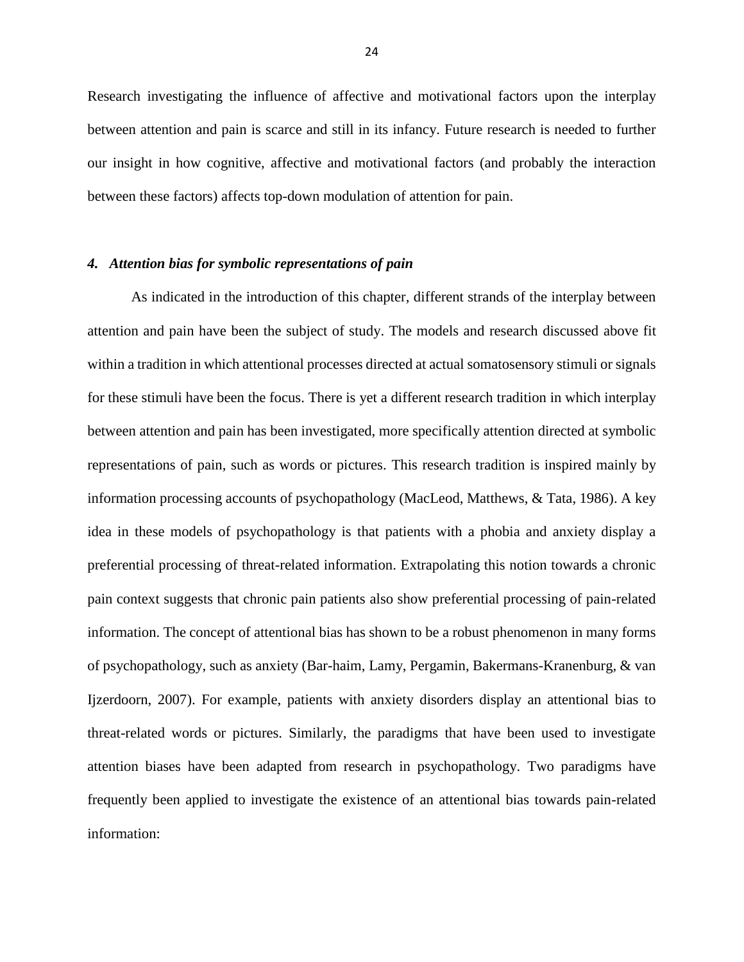Research investigating the influence of affective and motivational factors upon the interplay between attention and pain is scarce and still in its infancy. Future research is needed to further our insight in how cognitive, affective and motivational factors (and probably the interaction between these factors) affects top-down modulation of attention for pain.

## *4. Attention bias for symbolic representations of pain*

As indicated in the introduction of this chapter, different strands of the interplay between attention and pain have been the subject of study. The models and research discussed above fit within a tradition in which attentional processes directed at actual somatosensory stimuli or signals for these stimuli have been the focus. There is yet a different research tradition in which interplay between attention and pain has been investigated, more specifically attention directed at symbolic representations of pain, such as words or pictures. This research tradition is inspired mainly by information processing accounts of psychopathology (MacLeod, Matthews, & Tata, 1986). A key idea in these models of psychopathology is that patients with a phobia and anxiety display a preferential processing of threat-related information. Extrapolating this notion towards a chronic pain context suggests that chronic pain patients also show preferential processing of pain-related information. The concept of attentional bias has shown to be a robust phenomenon in many forms of psychopathology, such as anxiety (Bar-haim, Lamy, Pergamin, Bakermans-Kranenburg, & van Ijzerdoorn, 2007). For example, patients with anxiety disorders display an attentional bias to threat-related words or pictures. Similarly, the paradigms that have been used to investigate attention biases have been adapted from research in psychopathology. Two paradigms have frequently been applied to investigate the existence of an attentional bias towards pain-related information: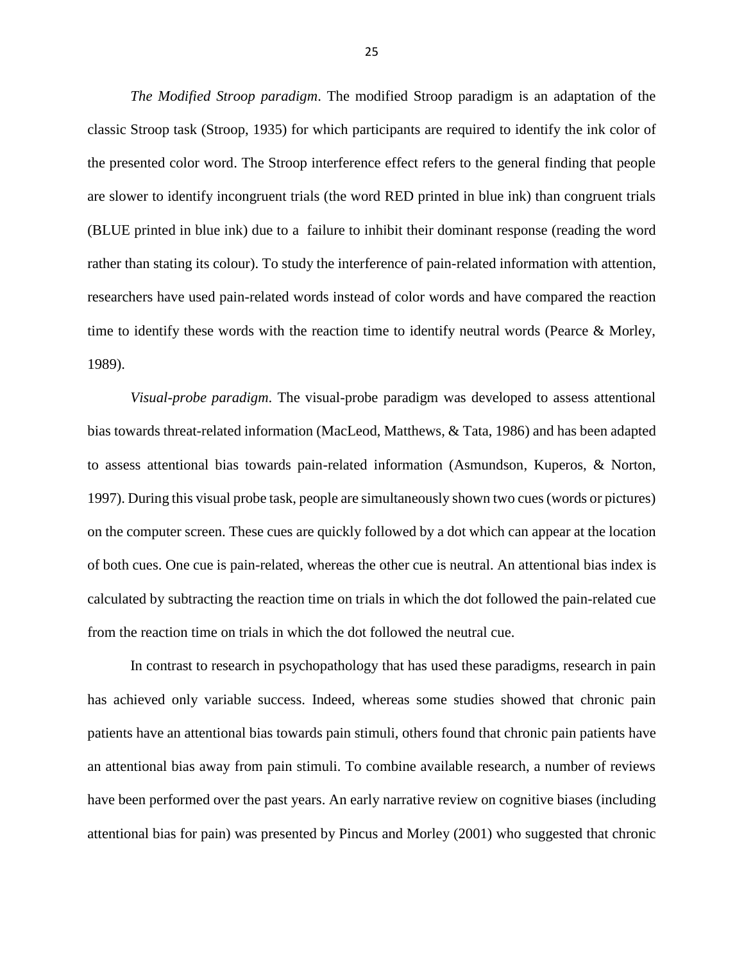*The Modified Stroop paradigm*. The modified Stroop paradigm is an adaptation of the classic Stroop task (Stroop, 1935) for which participants are required to identify the ink color of the presented color word. The Stroop interference effect refers to the general finding that people are slower to identify incongruent trials (the word RED printed in blue ink) than congruent trials (BLUE printed in blue ink) due to a failure to inhibit their dominant response (reading the word rather than stating its colour). To study the interference of pain-related information with attention, researchers have used pain-related words instead of color words and have compared the reaction time to identify these words with the reaction time to identify neutral words (Pearce & Morley, 1989).

*Visual-probe paradigm*. The visual-probe paradigm was developed to assess attentional bias towards threat-related information (MacLeod, Matthews, & Tata, 1986) and has been adapted to assess attentional bias towards pain-related information (Asmundson, Kuperos, & Norton, 1997). During this visual probe task, people are simultaneously shown two cues (words or pictures) on the computer screen. These cues are quickly followed by a dot which can appear at the location of both cues. One cue is pain-related, whereas the other cue is neutral. An attentional bias index is calculated by subtracting the reaction time on trials in which the dot followed the pain-related cue from the reaction time on trials in which the dot followed the neutral cue.

In contrast to research in psychopathology that has used these paradigms, research in pain has achieved only variable success. Indeed, whereas some studies showed that chronic pain patients have an attentional bias towards pain stimuli, others found that chronic pain patients have an attentional bias away from pain stimuli. To combine available research, a number of reviews have been performed over the past years. An early narrative review on cognitive biases (including attentional bias for pain) was presented by Pincus and Morley (2001) who suggested that chronic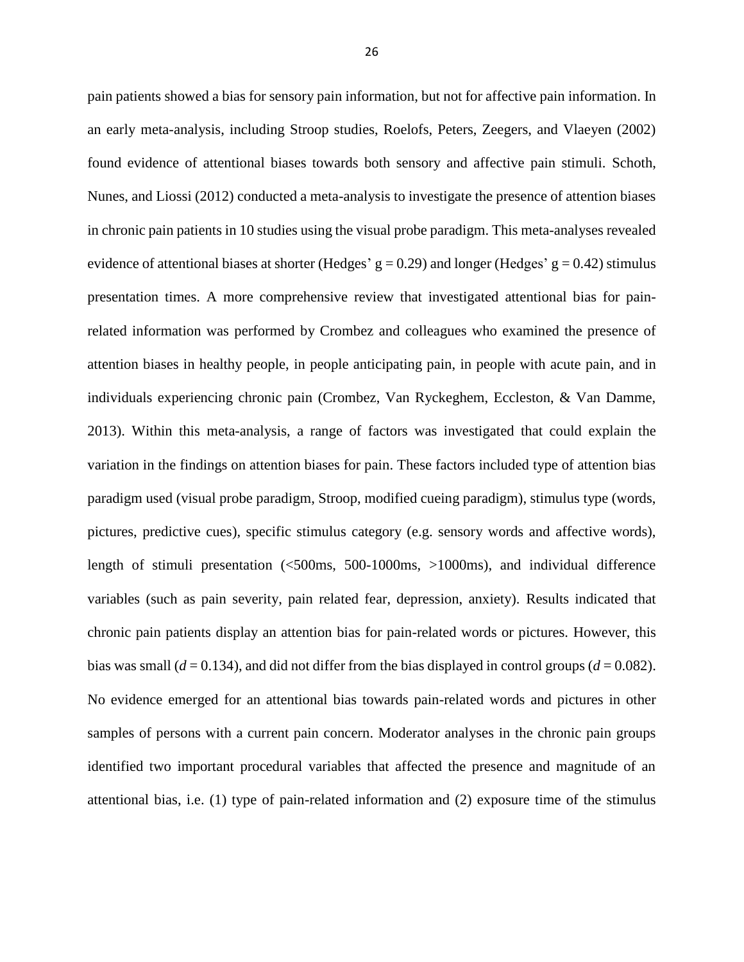pain patients showed a bias for sensory pain information, but not for affective pain information. In an early meta-analysis, including Stroop studies, Roelofs, Peters, Zeegers, and Vlaeyen (2002) found evidence of attentional biases towards both sensory and affective pain stimuli. Schoth, Nunes, and Liossi (2012) conducted a meta-analysis to investigate the presence of attention biases in chronic pain patients in 10 studies using the visual probe paradigm. This meta-analyses revealed evidence of attentional biases at shorter (Hedges' g = 0.29) and longer (Hedges' g = 0.42) stimulus presentation times. A more comprehensive review that investigated attentional bias for painrelated information was performed by Crombez and colleagues who examined the presence of attention biases in healthy people, in people anticipating pain, in people with acute pain, and in individuals experiencing chronic pain (Crombez, Van Ryckeghem, Eccleston, & Van Damme, 2013). Within this meta-analysis, a range of factors was investigated that could explain the variation in the findings on attention biases for pain. These factors included type of attention bias paradigm used (visual probe paradigm, Stroop, modified cueing paradigm), stimulus type (words, pictures, predictive cues), specific stimulus category (e.g. sensory words and affective words), length of stimuli presentation (<500ms, 500-1000ms, >1000ms), and individual difference variables (such as pain severity, pain related fear, depression, anxiety). Results indicated that chronic pain patients display an attention bias for pain-related words or pictures. However, this bias was small ( $d = 0.134$ ), and did not differ from the bias displayed in control groups ( $d = 0.082$ ). No evidence emerged for an attentional bias towards pain-related words and pictures in other samples of persons with a current pain concern. Moderator analyses in the chronic pain groups identified two important procedural variables that affected the presence and magnitude of an attentional bias, i.e. (1) type of pain-related information and (2) exposure time of the stimulus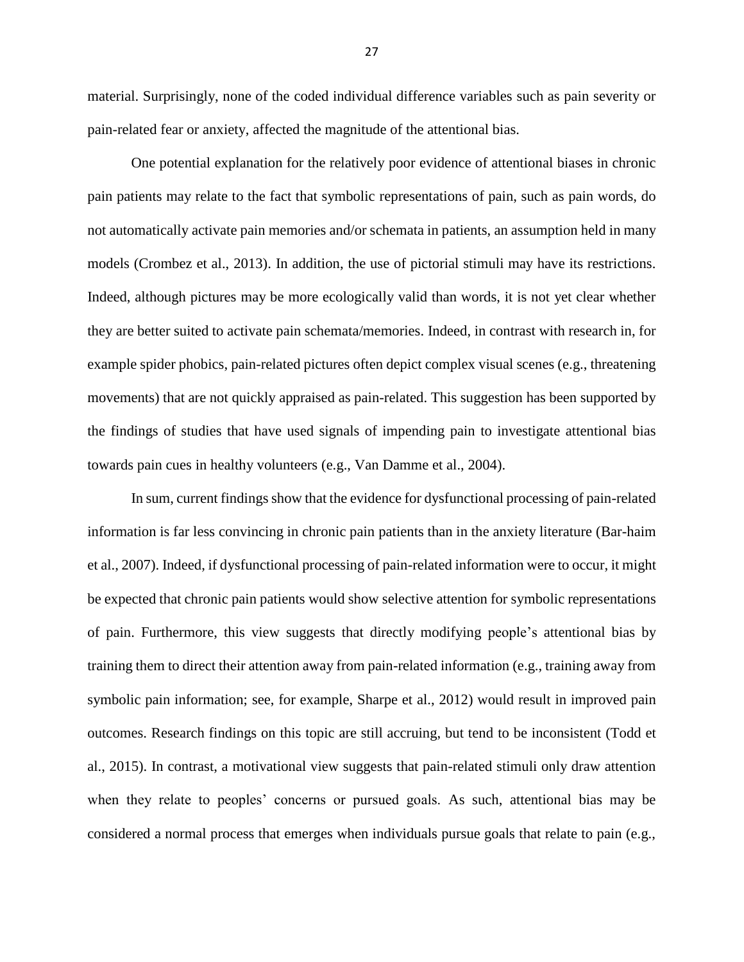material. Surprisingly, none of the coded individual difference variables such as pain severity or pain-related fear or anxiety, affected the magnitude of the attentional bias.

One potential explanation for the relatively poor evidence of attentional biases in chronic pain patients may relate to the fact that symbolic representations of pain, such as pain words, do not automatically activate pain memories and/or schemata in patients, an assumption held in many models (Crombez et al., 2013). In addition, the use of pictorial stimuli may have its restrictions. Indeed, although pictures may be more ecologically valid than words, it is not yet clear whether they are better suited to activate pain schemata/memories. Indeed, in contrast with research in, for example spider phobics, pain-related pictures often depict complex visual scenes (e.g., threatening movements) that are not quickly appraised as pain-related. This suggestion has been supported by the findings of studies that have used signals of impending pain to investigate attentional bias towards pain cues in healthy volunteers (e.g., Van Damme et al., 2004).

In sum, current findings show that the evidence for dysfunctional processing of pain-related information is far less convincing in chronic pain patients than in the anxiety literature (Bar-haim et al., 2007). Indeed, if dysfunctional processing of pain-related information were to occur, it might be expected that chronic pain patients would show selective attention for symbolic representations of pain. Furthermore, this view suggests that directly modifying people's attentional bias by training them to direct their attention away from pain-related information (e.g., training away from symbolic pain information; see, for example, Sharpe et al., 2012) would result in improved pain outcomes. Research findings on this topic are still accruing, but tend to be inconsistent (Todd et al., 2015). In contrast, a motivational view suggests that pain-related stimuli only draw attention when they relate to peoples' concerns or pursued goals. As such, attentional bias may be considered a normal process that emerges when individuals pursue goals that relate to pain (e.g.,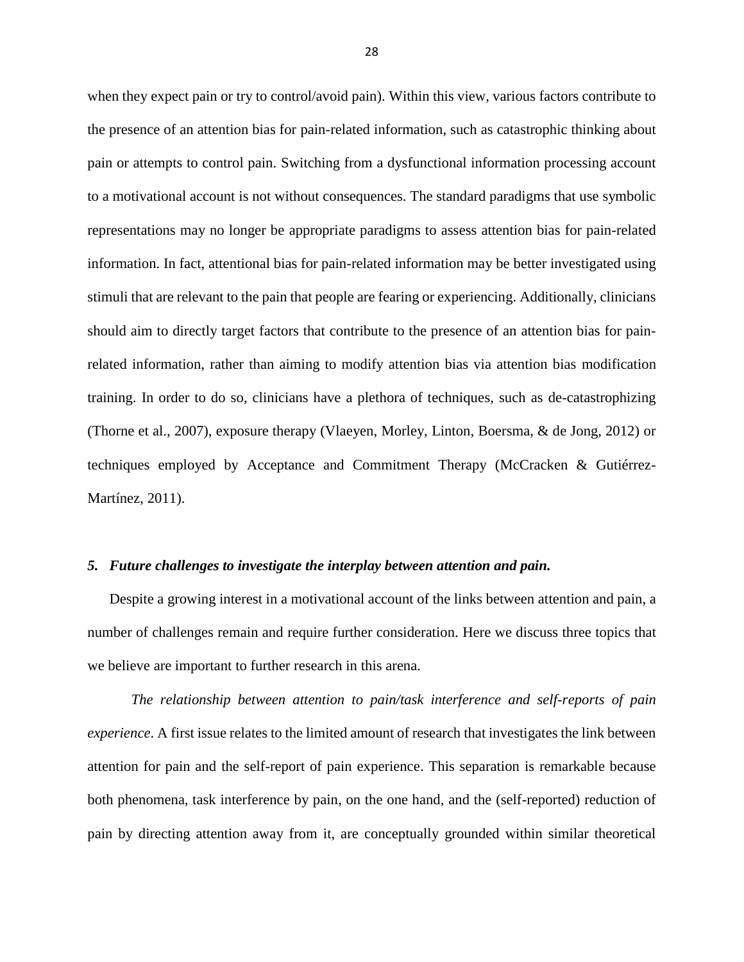when they expect pain or try to control/avoid pain). Within this view, various factors contribute to the presence of an attention bias for pain-related information, such as catastrophic thinking about pain or attempts to control pain. Switching from a dysfunctional information processing account to a motivational account is not without consequences. The standard paradigms that use symbolic representations may no longer be appropriate paradigms to assess attention bias for pain-related information. In fact, attentional bias for pain-related information may be better investigated using stimuli that are relevant to the pain that people are fearing or experiencing. Additionally, clinicians should aim to directly target factors that contribute to the presence of an attention bias for painrelated information, rather than aiming to modify attention bias via attention bias modification training. In order to do so, clinicians have a plethora of techniques, such as de-catastrophizing (Thorne et al., 2007), exposure therapy (Vlaeyen, Morley, Linton, Boersma, & de Jong, 2012) or techniques employed by Acceptance and Commitment Therapy (McCracken & Gutiérrez-Martínez, 2011).

#### *5. Future challenges to investigate the interplay between attention and pain.*

Despite a growing interest in a motivational account of the links between attention and pain, a number of challenges remain and require further consideration. Here we discuss three topics that we believe are important to further research in this arena.

*The relationship between attention to pain/task interference and self-reports of pain experience*. A first issue relates to the limited amount of research that investigates the link between attention for pain and the self-report of pain experience. This separation is remarkable because both phenomena, task interference by pain, on the one hand, and the (self-reported) reduction of pain by directing attention away from it, are conceptually grounded within similar theoretical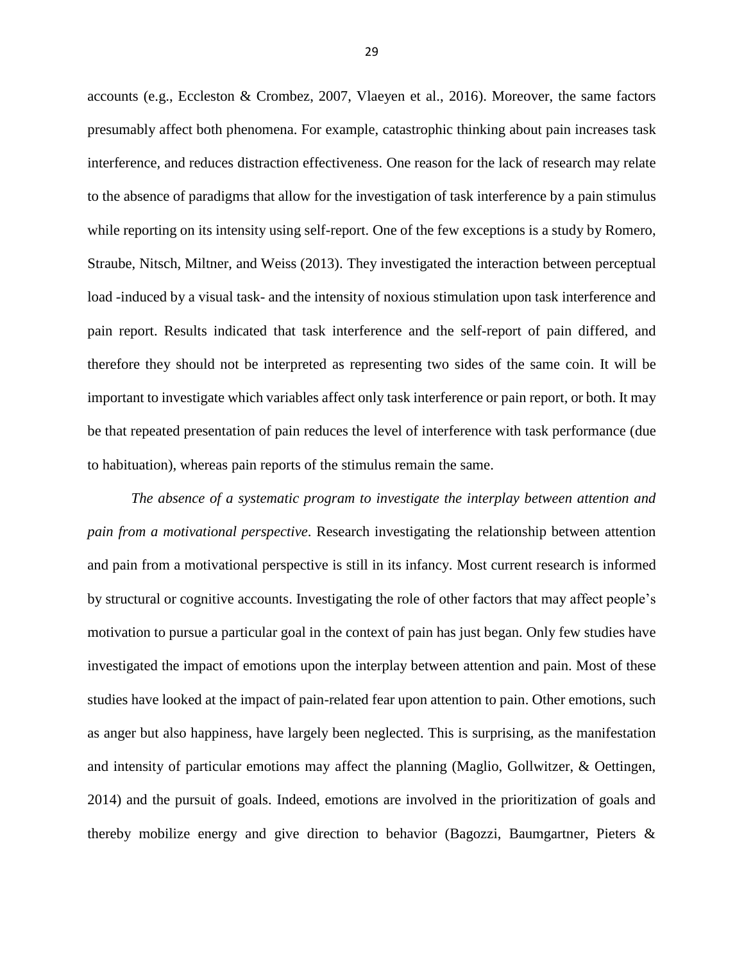accounts (e.g., Eccleston & Crombez, 2007, Vlaeyen et al., 2016). Moreover, the same factors presumably affect both phenomena. For example, catastrophic thinking about pain increases task interference, and reduces distraction effectiveness. One reason for the lack of research may relate to the absence of paradigms that allow for the investigation of task interference by a pain stimulus while reporting on its intensity using self-report. One of the few exceptions is a study by Romero, Straube, Nitsch, Miltner, and Weiss (2013). They investigated the interaction between perceptual load -induced by a visual task- and the intensity of noxious stimulation upon task interference and pain report. Results indicated that task interference and the self-report of pain differed, and therefore they should not be interpreted as representing two sides of the same coin. It will be important to investigate which variables affect only task interference or pain report, or both. It may be that repeated presentation of pain reduces the level of interference with task performance (due to habituation), whereas pain reports of the stimulus remain the same.

*The absence of a systematic program to investigate the interplay between attention and pain from a motivational perspective*. Research investigating the relationship between attention and pain from a motivational perspective is still in its infancy. Most current research is informed by structural or cognitive accounts. Investigating the role of other factors that may affect people's motivation to pursue a particular goal in the context of pain has just began. Only few studies have investigated the impact of emotions upon the interplay between attention and pain. Most of these studies have looked at the impact of pain-related fear upon attention to pain. Other emotions, such as anger but also happiness, have largely been neglected. This is surprising, as the manifestation and intensity of particular emotions may affect the planning (Maglio, Gollwitzer, & Oettingen, 2014) and the pursuit of goals. Indeed, emotions are involved in the prioritization of goals and thereby mobilize energy and give direction to behavior (Bagozzi, Baumgartner, Pieters &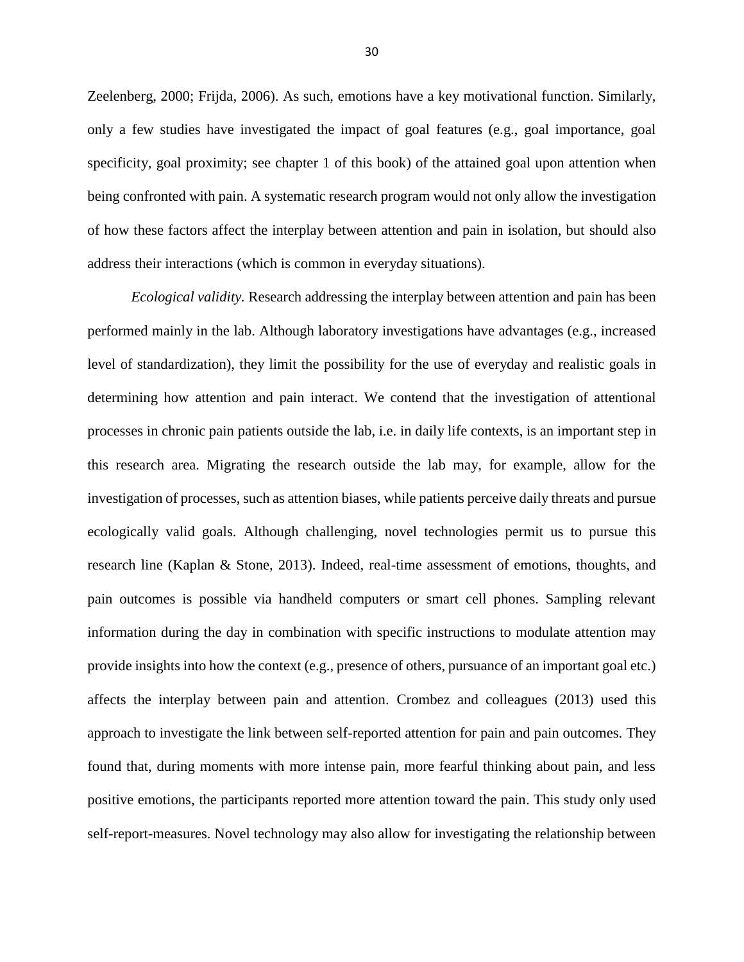Zeelenberg, 2000; Frijda, 2006). As such, emotions have a key motivational function. Similarly, only a few studies have investigated the impact of goal features (e.g., goal importance, goal specificity, goal proximity; see chapter 1 of this book) of the attained goal upon attention when being confronted with pain. A systematic research program would not only allow the investigation of how these factors affect the interplay between attention and pain in isolation, but should also address their interactions (which is common in everyday situations).

*Ecological validity.* Research addressing the interplay between attention and pain has been performed mainly in the lab. Although laboratory investigations have advantages (e.g., increased level of standardization), they limit the possibility for the use of everyday and realistic goals in determining how attention and pain interact. We contend that the investigation of attentional processes in chronic pain patients outside the lab, i.e. in daily life contexts, is an important step in this research area. Migrating the research outside the lab may, for example, allow for the investigation of processes, such as attention biases, while patients perceive daily threats and pursue ecologically valid goals. Although challenging, novel technologies permit us to pursue this research line (Kaplan & Stone, 2013). Indeed, real-time assessment of emotions, thoughts, and pain outcomes is possible via handheld computers or smart cell phones. Sampling relevant information during the day in combination with specific instructions to modulate attention may provide insights into how the context (e.g., presence of others, pursuance of an important goal etc.) affects the interplay between pain and attention. Crombez and colleagues (2013) used this approach to investigate the link between self-reported attention for pain and pain outcomes. They found that, during moments with more intense pain, more fearful thinking about pain, and less positive emotions, the participants reported more attention toward the pain. This study only used self-report-measures. Novel technology may also allow for investigating the relationship between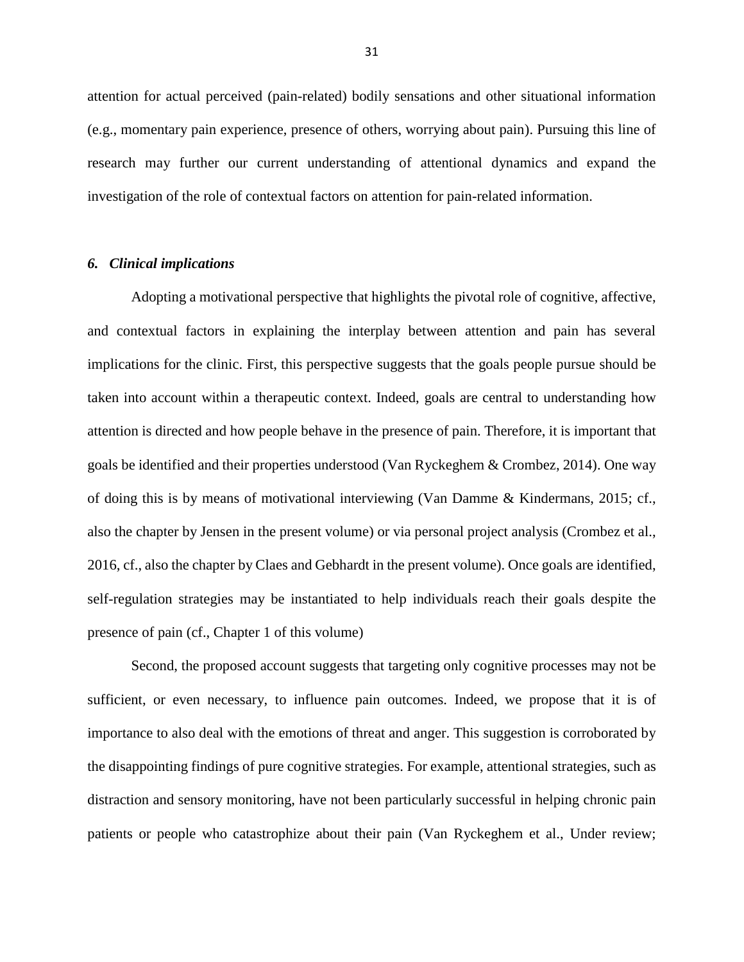attention for actual perceived (pain-related) bodily sensations and other situational information (e.g., momentary pain experience, presence of others, worrying about pain). Pursuing this line of research may further our current understanding of attentional dynamics and expand the investigation of the role of contextual factors on attention for pain-related information.

## *6. Clinical implications*

Adopting a motivational perspective that highlights the pivotal role of cognitive, affective, and contextual factors in explaining the interplay between attention and pain has several implications for the clinic. First, this perspective suggests that the goals people pursue should be taken into account within a therapeutic context. Indeed, goals are central to understanding how attention is directed and how people behave in the presence of pain. Therefore, it is important that goals be identified and their properties understood (Van Ryckeghem & Crombez, 2014). One way of doing this is by means of motivational interviewing (Van Damme & Kindermans, 2015; cf., also the chapter by Jensen in the present volume) or via personal project analysis (Crombez et al., 2016, cf., also the chapter by Claes and Gebhardt in the present volume). Once goals are identified, self-regulation strategies may be instantiated to help individuals reach their goals despite the presence of pain (cf., Chapter 1 of this volume)

Second, the proposed account suggests that targeting only cognitive processes may not be sufficient, or even necessary, to influence pain outcomes. Indeed, we propose that it is of importance to also deal with the emotions of threat and anger. This suggestion is corroborated by the disappointing findings of pure cognitive strategies. For example, attentional strategies, such as distraction and sensory monitoring, have not been particularly successful in helping chronic pain patients or people who catastrophize about their pain (Van Ryckeghem et al., Under review;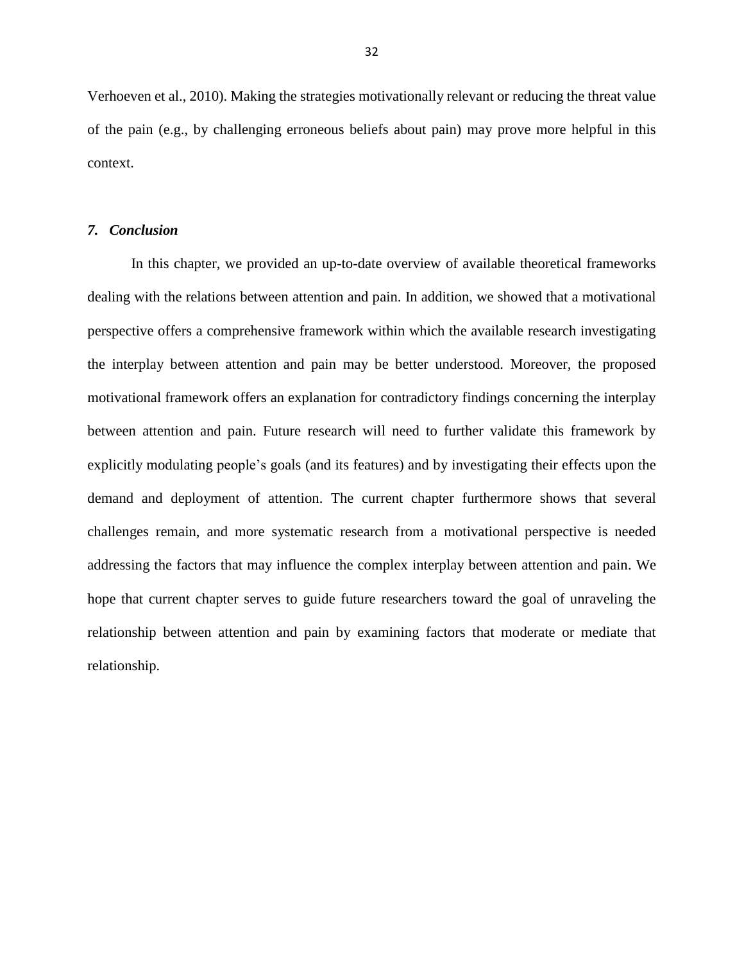Verhoeven et al., 2010). Making the strategies motivationally relevant or reducing the threat value of the pain (e.g., by challenging erroneous beliefs about pain) may prove more helpful in this context.

### *7. Conclusion*

In this chapter, we provided an up-to-date overview of available theoretical frameworks dealing with the relations between attention and pain. In addition, we showed that a motivational perspective offers a comprehensive framework within which the available research investigating the interplay between attention and pain may be better understood. Moreover, the proposed motivational framework offers an explanation for contradictory findings concerning the interplay between attention and pain. Future research will need to further validate this framework by explicitly modulating people's goals (and its features) and by investigating their effects upon the demand and deployment of attention. The current chapter furthermore shows that several challenges remain, and more systematic research from a motivational perspective is needed addressing the factors that may influence the complex interplay between attention and pain. We hope that current chapter serves to guide future researchers toward the goal of unraveling the relationship between attention and pain by examining factors that moderate or mediate that relationship.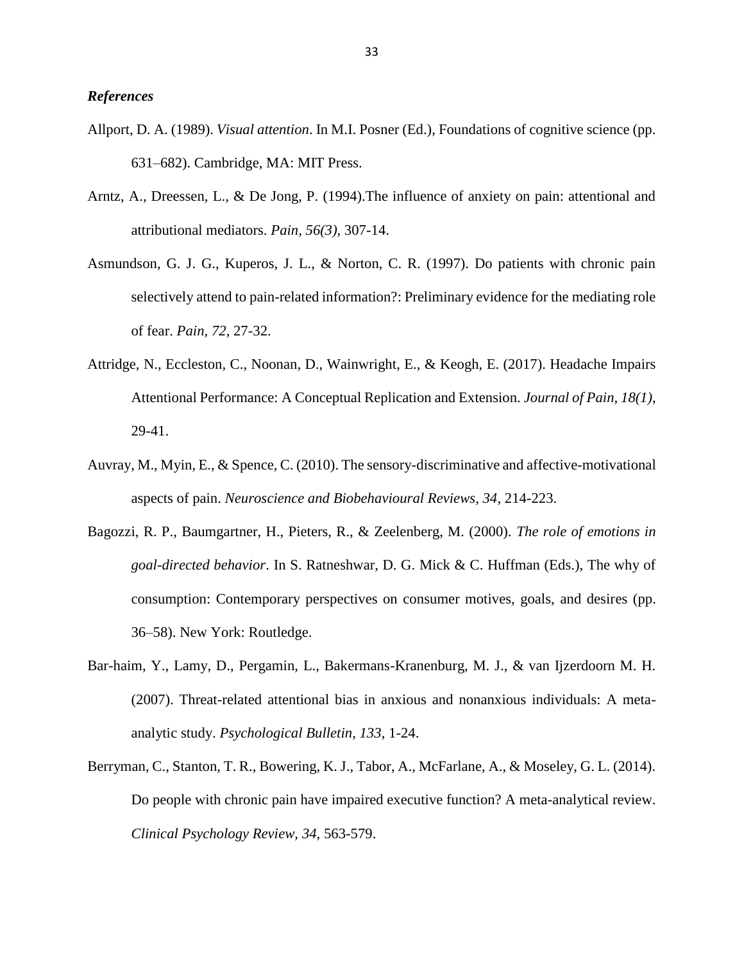- Allport, D. A. (1989). *Visual attention*. In M.I. Posner (Ed.), Foundations of cognitive science (pp. 631–682). Cambridge, MA: MIT Press.
- Arntz, A., Dreessen, L., & De Jong, P. (1994).The influence of anxiety on pain: attentional and attributional mediators. *Pain, 56(3)*, 307-14.
- Asmundson, G. J. G., Kuperos, J. L., & Norton, C. R. (1997). Do patients with chronic pain selectively attend to pain-related information?: Preliminary evidence for the mediating role of fear. *Pain, 72*, 27-32.
- Attridge, N., Eccleston, C., Noonan, D., Wainwright, E., & Keogh, E. (2017). Headache Impairs Attentional Performance: A Conceptual Replication and Extension. *Journal of Pain, 18(1)*, 29-41.
- Auvray, M., Myin, E., & Spence, C. (2010). The sensory-discriminative and affective-motivational aspects of pain. *Neuroscience and Biobehavioural Reviews, 34*, 214-223.
- Bagozzi, R. P., Baumgartner, H., Pieters, R., & Zeelenberg, M. (2000). *The role of emotions in goal-directed behavior*. In S. Ratneshwar, D. G. Mick & C. Huffman (Eds.), The why of consumption: Contemporary perspectives on consumer motives, goals, and desires (pp. 36–58). New York: Routledge.
- Bar-haim, Y., Lamy, D., Pergamin, L., Bakermans-Kranenburg, M. J., & van Ijzerdoorn M. H. (2007). Threat-related attentional bias in anxious and nonanxious individuals: A metaanalytic study. *Psychological Bulletin, 133*, 1-24.
- Berryman, C., Stanton, T. R., Bowering, K. J., Tabor, A., McFarlane, A., & Moseley, G. L. (2014). Do people with chronic pain have impaired executive function? A meta-analytical review. *Clinical Psychology Review, 34*, 563-579.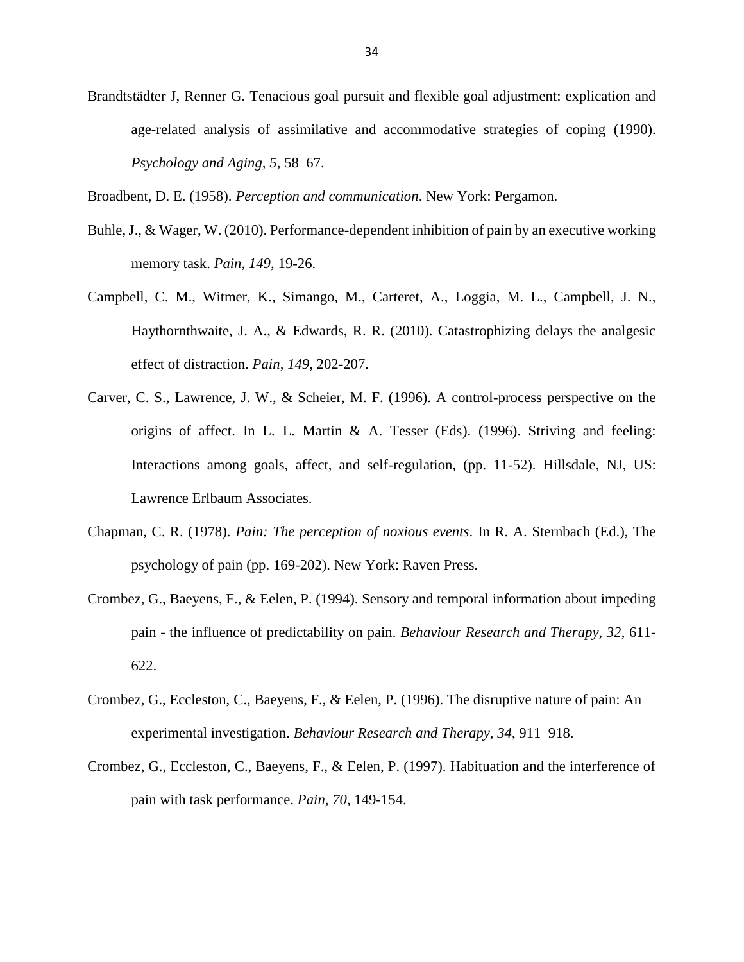Brandtstädter J, Renner G. Tenacious goal pursuit and flexible goal adjustment: explication and age-related analysis of assimilative and accommodative strategies of coping (1990). *Psychology and Aging, 5,* 58–67.

Broadbent, D. E. (1958). *Perception and communication*. New York: Pergamon.

- Buhle, J., & Wager, W. (2010). Performance-dependent inhibition of pain by an executive working memory task. *Pain, 149*, 19-26.
- Campbell, C. M., Witmer, K., Simango, M., Carteret, A., Loggia, M. L., Campbell, J. N., Haythornthwaite, J. A., & Edwards, R. R. (2010). Catastrophizing delays the analgesic effect of distraction. *Pain, 149*, 202-207.
- Carver, C. S., Lawrence, J. W., & Scheier, M. F. (1996). A control-process perspective on the origins of affect. In L. L. Martin & A. Tesser (Eds). (1996). Striving and feeling: Interactions among goals, affect, and self-regulation, (pp. 11-52). Hillsdale, NJ, US: Lawrence Erlbaum Associates.
- Chapman, C. R. (1978). *Pain: The perception of noxious events*. In R. A. Sternbach (Ed.), The psychology of pain (pp. 169-202). New York: Raven Press.
- Crombez, G., Baeyens, F., & Eelen, P. (1994). Sensory and temporal information about impeding pain - the influence of predictability on pain. *Behaviour Research and Therapy, 32*, 611- 622.
- Crombez, G., Eccleston, C., Baeyens, F., & Eelen, P. (1996). The disruptive nature of pain: An experimental investigation. *[Behaviour Research and Therapy,](http://www.sciencedirect.com/science/journal/00057967) [34](http://www.sciencedirect.com/science/journal/00057967/34/11)*, 911–918.
- Crombez, G., Eccleston, C., Baeyens, F., & Eelen, P. (1997). Habituation and the interference of pain with task performance. *Pain, 70*, 149-154.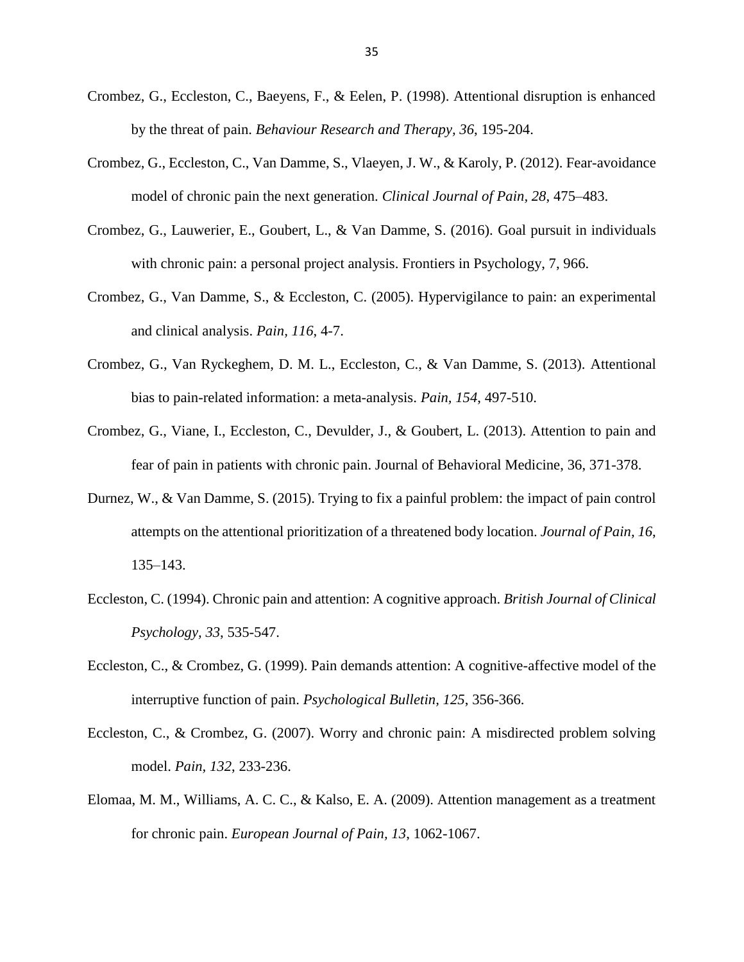- Crombez, G., Eccleston, C., Baeyens, F., & Eelen, P. (1998). Attentional disruption is enhanced by the threat of pain. *Behaviour Research and Therapy, 36*, 195-204.
- Crombez, G., Eccleston, C., Van Damme, S., Vlaeyen, J. W., & Karoly, P. (2012). Fear-avoidance model of chronic pain the next generation. *Clinical Journal of Pain, 28*, 475–483.
- Crombez, G., Lauwerier, E., Goubert, L., & Van Damme, S. (2016). Goal pursuit in individuals with chronic pain: a personal project analysis. Frontiers in Psychology, 7, 966.
- Crombez, G., Van Damme, S., & Eccleston, C. (2005). Hypervigilance to pain: an experimental and clinical analysis. *Pain, 116*, 4-7.
- Crombez, G., Van Ryckeghem, D. M. L., Eccleston, C., & Van Damme, S. (2013). Attentional bias to pain-related information: a meta-analysis. *Pain, 154*, 497-510.
- Crombez, G., Viane, I., Eccleston, C., Devulder, J., & Goubert, L. (2013). Attention to pain and fear of pain in patients with chronic pain. Journal of Behavioral Medicine, 36, 371-378.
- Durnez, W., & Van Damme, S. (2015). Trying to fix a painful problem: the impact of pain control attempts on the attentional prioritization of a threatened body location. *Journal of Pain, 16*, 135–143.
- Eccleston, C. (1994). Chronic pain and attention: A cognitive approach. *British Journal of Clinical Psychology, 33*, 535-547.
- Eccleston, C., & Crombez, G. (1999). Pain demands attention: A cognitive-affective model of the interruptive function of pain. *Psychological Bulletin, 125*, 356-366.
- Eccleston, C., & Crombez, G. (2007). Worry and chronic pain: A misdirected problem solving model. *Pain, 132*, 233-236.
- Elomaa, M. M., Williams, A. C. C., & Kalso, E. A. (2009). Attention management as a treatment for chronic pain. *European Journal of Pain, 13*, 1062-1067.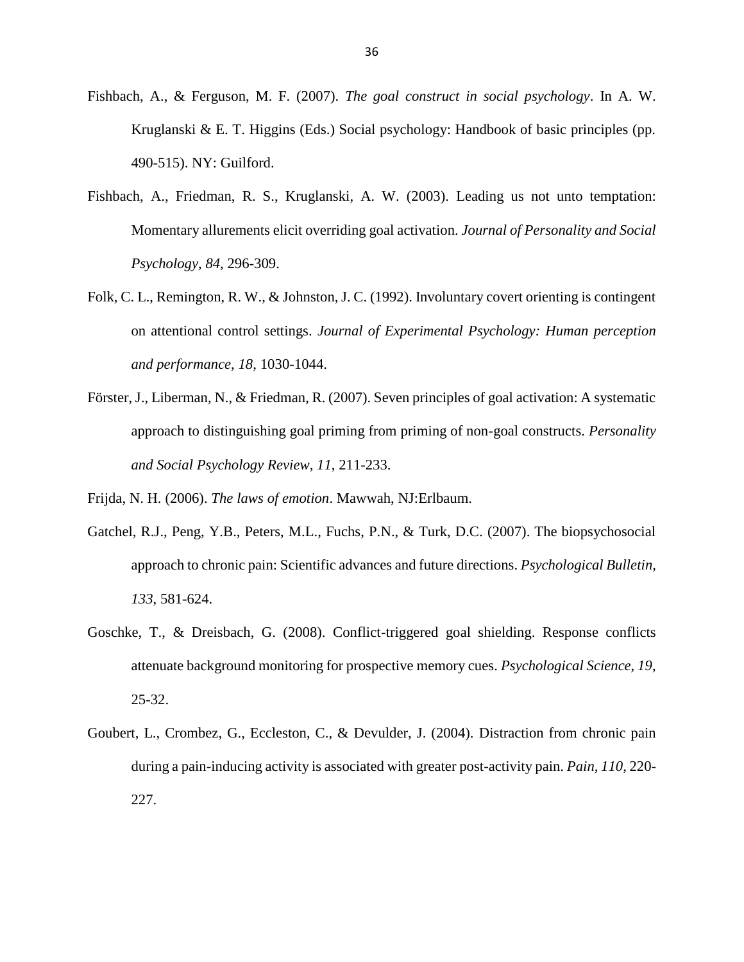- Fishbach, A., & Ferguson, M. F. (2007). *The goal construct in social psychology*. In A. W. Kruglanski & E. T. Higgins (Eds.) Social psychology: Handbook of basic principles (pp. 490-515). NY: Guilford.
- Fishbach, A., Friedman, R. S., Kruglanski, A. W. (2003). Leading us not unto temptation: Momentary allurements elicit overriding goal activation. *Journal of Personality and Social Psychology, 84*, 296-309.
- Folk, C. L., Remington, R. W., & Johnston, J. C. (1992). Involuntary covert orienting is contingent on attentional control settings. *Journal of Experimental Psychology: Human perception and performance, 18*, 1030-1044.
- Förster, J., Liberman, N., & Friedman, R. (2007). Seven principles of goal activation: A systematic approach to distinguishing goal priming from priming of non-goal constructs. *Personality and Social Psychology Review, 11*, 211-233.

Frijda, N. H. (2006). *The laws of emotion*. Mawwah, NJ:Erlbaum.

- Gatchel, R.J., Peng, Y.B., Peters, M.L., Fuchs, P.N., & Turk, D.C. (2007). The biopsychosocial approach to chronic pain: Scientific advances and future directions. *Psychological Bulletin, 133*, 581-624.
- Goschke, T., & Dreisbach, G. (2008). Conflict-triggered goal shielding. Response conflicts attenuate background monitoring for prospective memory cues. *Psychological Science, 19*, 25-32.
- Goubert, L., Crombez, G., Eccleston, C., & Devulder, J. (2004). Distraction from chronic pain during a pain-inducing activity is associated with greater post-activity pain. *Pain, 110*, 220- 227.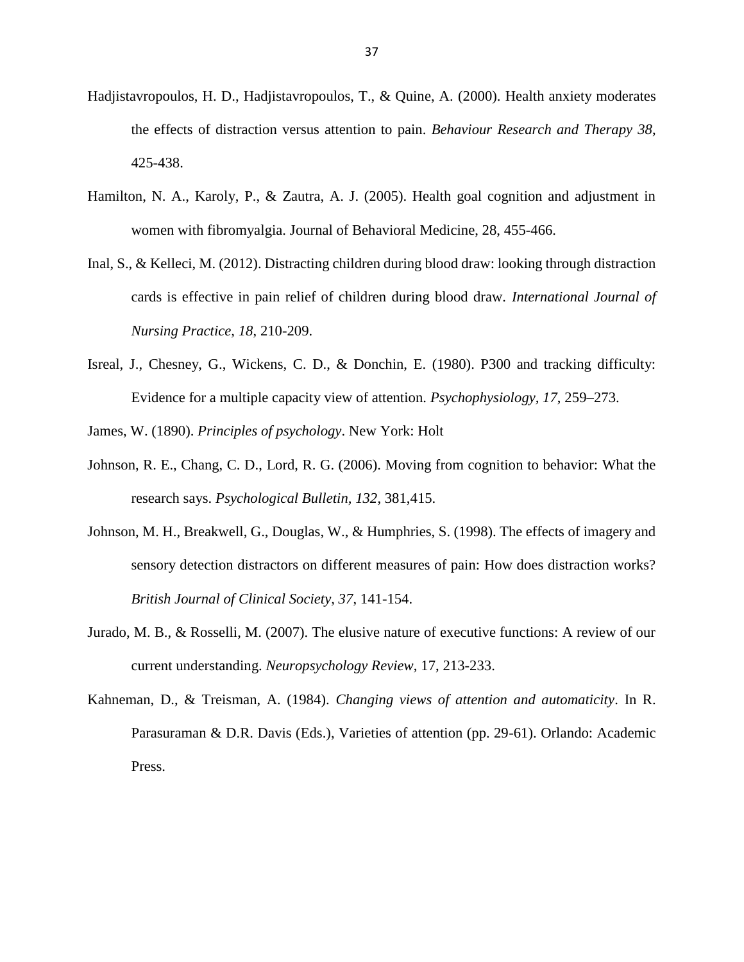- Hadjistavropoulos, H. D., Hadjistavropoulos, T., & Quine, A. (2000). Health anxiety moderates the effects of distraction versus attention to pain. *Behaviour Research and Therapy 38*, 425-438.
- Hamilton, N. A., Karoly, P., & Zautra, A. J. (2005). Health goal cognition and adjustment in women with fibromyalgia. Journal of Behavioral Medicine, 28, 455-466.
- Inal, S., & Kelleci, M. (2012). Distracting children during blood draw: looking through distraction cards is effective in pain relief of children during blood draw. *International Journal of Nursing Practice, 18*, 210-209.
- Isreal, J., Chesney, G., Wickens, C. D., & Donchin, E. (1980). P300 and tracking difficulty: Evidence for a multiple capacity view of attention. *Psychophysiology, 17*, 259–273.

James, W. (1890). *Principles of psychology*. New York: Holt

- Johnson, R. E., Chang, C. D., Lord, R. G. (2006). Moving from cognition to behavior: What the research says. *Psychological Bulletin, 132*, 381,415.
- Johnson, M. H., Breakwell, G., Douglas, W., & Humphries, S. (1998). The effects of imagery and sensory detection distractors on different measures of pain: How does distraction works? *British Journal of Clinical Society, 37*, 141-154.
- Jurado, M. B., & Rosselli, M. (2007). The elusive nature of executive functions: A review of our current understanding. *Neuropsychology Review*, 17, 213-233.
- Kahneman, D., & Treisman, A. (1984). *Changing views of attention and automaticity*. In R. Parasuraman & D.R. Davis (Eds.), Varieties of attention (pp. 29-61). Orlando: Academic Press.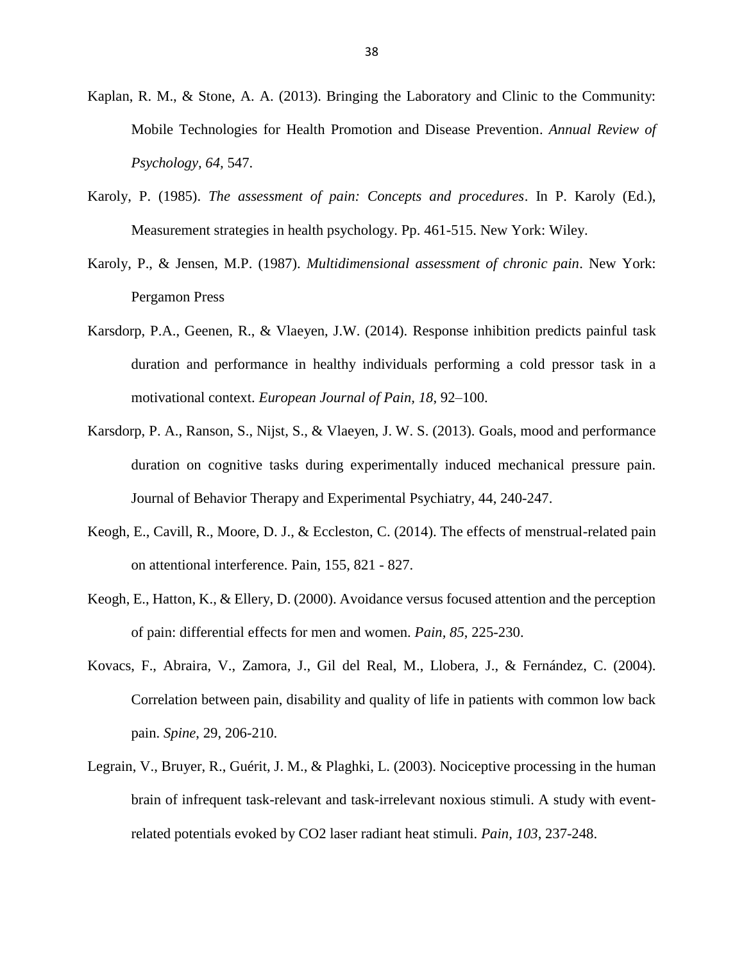- Kaplan, R. M., & Stone, A. A. (2013). Bringing the Laboratory and Clinic to the Community: Mobile Technologies for Health Promotion and Disease Prevention. *Annual Review of Psychology, 64,* 547.
- Karoly, P. (1985). *The assessment of pain: Concepts and procedures*. In P. Karoly (Ed.), Measurement strategies in health psychology. Pp. 461-515. New York: Wiley.
- Karoly, P., & Jensen, M.P. (1987). *Multidimensional assessment of chronic pain*. New York: Pergamon Press
- Karsdorp, P.A., Geenen, R., & Vlaeyen, J.W. (2014). Response inhibition predicts painful task duration and performance in healthy individuals performing a cold pressor task in a motivational context. *European Journal of Pain, 18*, 92–100.
- Karsdorp, P. A., Ranson, S., Nijst, S., & Vlaeyen, J. W. S. (2013). Goals, mood and performance duration on cognitive tasks during experimentally induced mechanical pressure pain. Journal of Behavior Therapy and Experimental Psychiatry, 44, 240-247.
- Keogh, E., Cavill, R., Moore, D. J., & Eccleston, C. (2014). The effects of menstrual-related pain on attentional interference. Pain, 155, 821 - 827.
- Keogh, E., Hatton, K., & Ellery, D. (2000). Avoidance versus focused attention and the perception of pain: differential effects for men and women. *Pain, 85*, 225-230.
- Kovacs, F., Abraira, V., Zamora, J., Gil del Real, M., Llobera, J., & Fernández, C. (2004). Correlation between pain, disability and quality of life in patients with common low back pain. *Spine*, 29, 206-210.
- Legrain, V., Bruyer, R., Guérit, J. M., & Plaghki, L. (2003). Nociceptive processing in the human brain of infrequent task-relevant and task-irrelevant noxious stimuli. A study with eventrelated potentials evoked by CO2 laser radiant heat stimuli. *Pain, 103*, 237-248.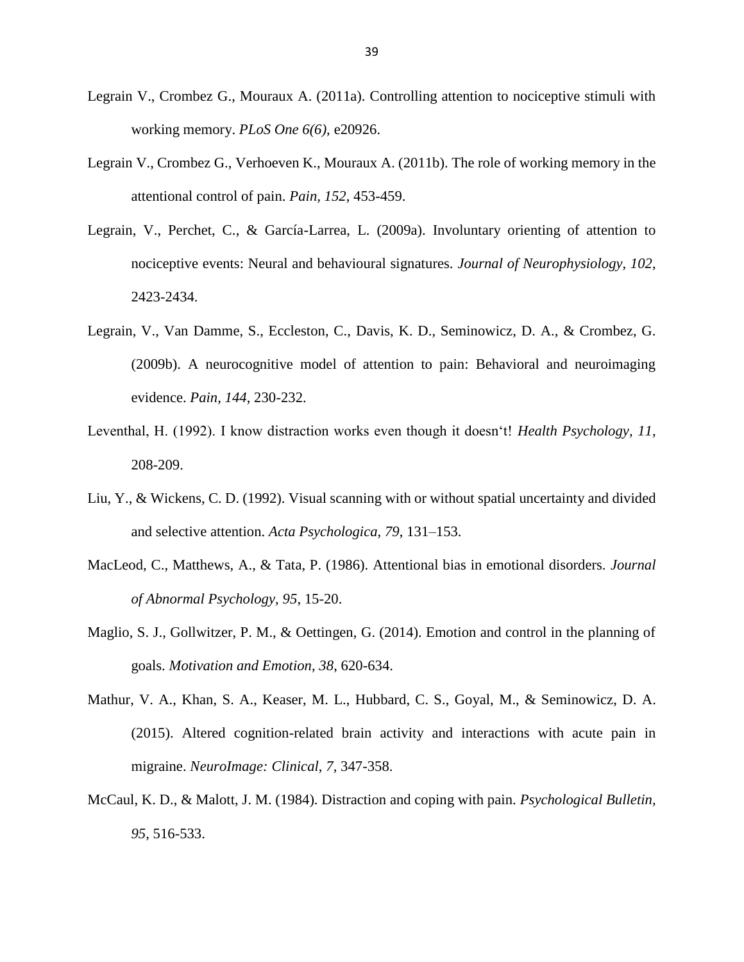- Legrain V., Crombez G., Mouraux A. (2011a). Controlling attention to nociceptive stimuli with working memory. *PLoS One 6(6)*, e20926.
- Legrain V., Crombez G., Verhoeven K., Mouraux A. (2011b). The role of working memory in the attentional control of pain. *Pain, 152*, 453-459.
- Legrain, V., Perchet, C., & García-Larrea, L. (2009a). Involuntary orienting of attention to nociceptive events: Neural and behavioural signatures. *Journal of Neurophysiology, 102*, 2423-2434.
- Legrain, V., Van Damme, S., Eccleston, C., Davis, K. D., Seminowicz, D. A., & Crombez, G. (2009b). A neurocognitive model of attention to pain: Behavioral and neuroimaging evidence. *Pain, 144*, 230-232.
- Leventhal, H. (1992). I know distraction works even though it doesn't! *Health Psychology, 11*, 208-209.
- Liu, Y., & Wickens, C. D. (1992). Visual scanning with or without spatial uncertainty and divided and selective attention. *Acta Psychologica, 79*, 131–153.
- MacLeod, C., Matthews, A., & Tata, P. (1986). Attentional bias in emotional disorders. *Journal of Abnormal Psychology, 95*, 15-20.
- Maglio, S. J., Gollwitzer, P. M., & Oettingen, G. (2014). Emotion and control in the planning of goals. *Motivation and Emotion, 38*, 620-634.
- Mathur, V. A., Khan, S. A., Keaser, M. L., Hubbard, C. S., Goyal, M., & Seminowicz, D. A. (2015). Altered cognition-related brain activity and interactions with acute pain in migraine. *NeuroImage: Clinical, 7*, 347-358.
- McCaul, K. D., & Malott, J. M. (1984). Distraction and coping with pain. *Psychological Bulletin, 95*, 516-533.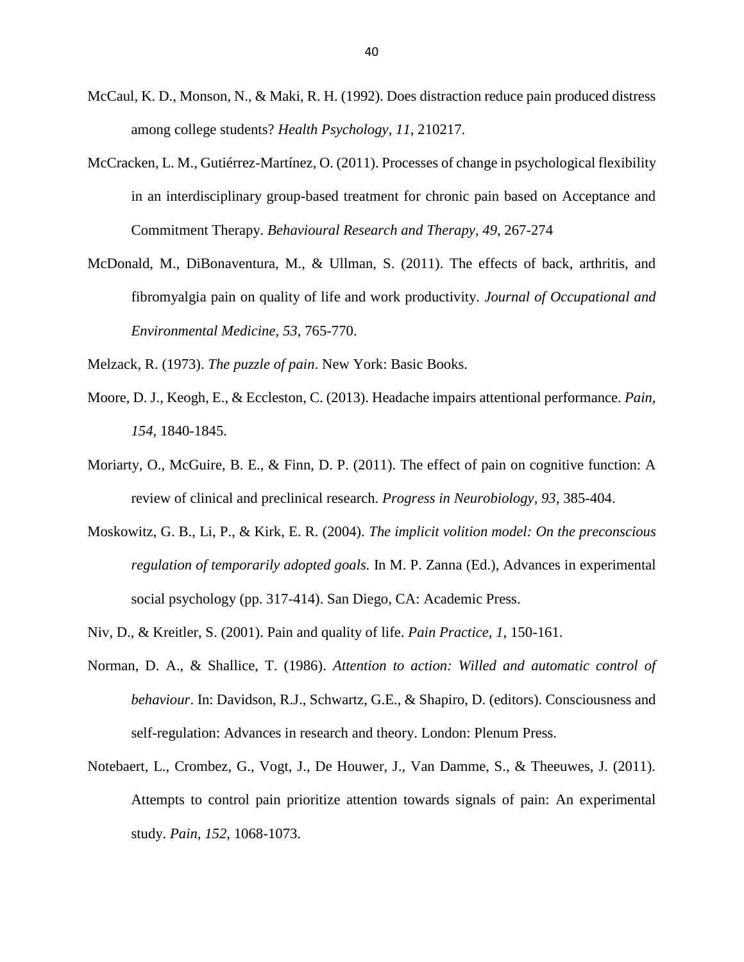- McCaul, K. D., Monson, N., & Maki, R. H. (1992). Does distraction reduce pain produced distress among college students? *Health Psychology, 11*, 210217.
- McCracken, L. M., Gutiérrez-Martínez, O. (2011). Processes of change in psychological flexibility in an interdisciplinary group-based treatment for chronic pain based on Acceptance and Commitment Therapy. *Behavioural Research and Therapy, 49*, 267-274
- McDonald, M., DiBonaventura, M., & Ullman, S. (2011). The effects of back, arthritis, and fibromyalgia pain on quality of life and work productivity. *Journal of Occupational and Environmental Medicine, 53*, 765-770.

Melzack, R. (1973). *The puzzle of pain*. New York: Basic Books.

- Moore, D. J., Keogh, E., & Eccleston, C. (2013). Headache impairs attentional performance. *Pain, 154*, 1840-1845.
- Moriarty, O., McGuire, B. E., & Finn, D. P. (2011). The effect of pain on cognitive function: A review of clinical and preclinical research. *Progress in Neurobiology, 93*, 385-404.
- Moskowitz, G. B., Li, P., & Kirk, E. R. (2004). *The implicit volition model: On the preconscious regulation of temporarily adopted goals.* In M. P. Zanna (Ed.), Advances in experimental social psychology (pp. 317-414). San Diego, CA: Academic Press.

Niv, D., & Kreitler, S. (2001). Pain and quality of life. *Pain Practice, 1*, 150-161.

- Norman, D. A., & Shallice, T. (1986). *Attention to action: Willed and automatic control of behaviour*. In: Davidson, R.J., Schwartz, G.E., & Shapiro, D. (editors). Consciousness and self-regulation: Advances in research and theory. London: Plenum Press.
- Notebaert, L., Crombez, G., Vogt, J., De Houwer, J., Van Damme, S., & Theeuwes, J. (2011). Attempts to control pain prioritize attention towards signals of pain: An experimental study. *Pain, 152*, 1068-1073.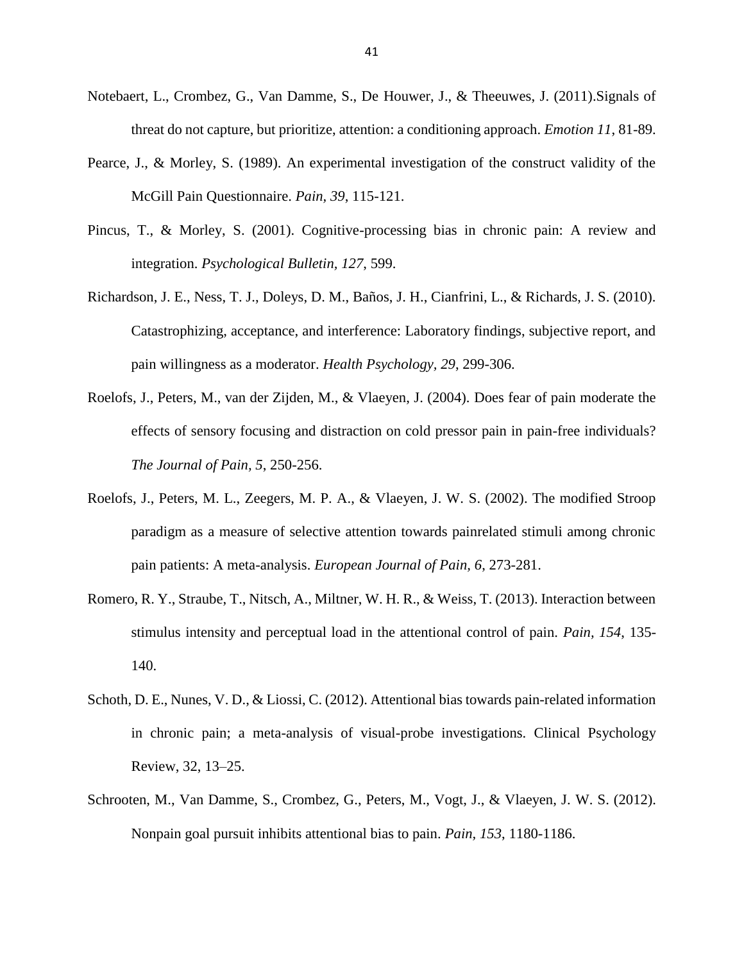- Notebaert, L., Crombez, G., Van Damme, S., De Houwer, J., & Theeuwes, J. (2011).Signals of threat do not capture, but prioritize, attention: a conditioning approach. *Emotion 11*, 81-89.
- Pearce, J., & Morley, S. (1989). An experimental investigation of the construct validity of the McGill Pain Questionnaire. *Pain, 39*, 115-121.
- Pincus, T., & Morley, S. (2001). Cognitive-processing bias in chronic pain: A review and integration. *Psychological Bulletin, 127*, 599.
- Richardson, J. E., Ness, T. J., Doleys, D. M., Baños, J. H., Cianfrini, L., & Richards, J. S. (2010). Catastrophizing, acceptance, and interference: Laboratory findings, subjective report, and pain willingness as a moderator. *Health Psychology, 29*, 299-306.
- Roelofs, J., Peters, M., van der Zijden, M., & Vlaeyen, J. (2004). Does fear of pain moderate the effects of sensory focusing and distraction on cold pressor pain in pain-free individuals? *The Journal of Pain, 5*, 250-256.
- Roelofs, J., Peters, M. L., Zeegers, M. P. A., & Vlaeyen, J. W. S. (2002). The modified Stroop paradigm as a measure of selective attention towards painrelated stimuli among chronic pain patients: A meta-analysis. *European Journal of Pain, 6*, 273-281.
- Romero, R. Y., Straube, T., Nitsch, A., Miltner, W. H. R., & Weiss, T. (2013). Interaction between stimulus intensity and perceptual load in the attentional control of pain. *Pain, 154*, 135- 140.
- Schoth, D. E., Nunes, V. D., & Liossi, C. (2012). Attentional bias towards pain-related information in chronic pain; a meta-analysis of visual-probe investigations. Clinical Psychology Review, 32, 13–25.
- Schrooten, M., Van Damme, S., Crombez, G., Peters, M., Vogt, J., & Vlaeyen, J. W. S. (2012). Nonpain goal pursuit inhibits attentional bias to pain. *Pain, 153*, 1180-1186.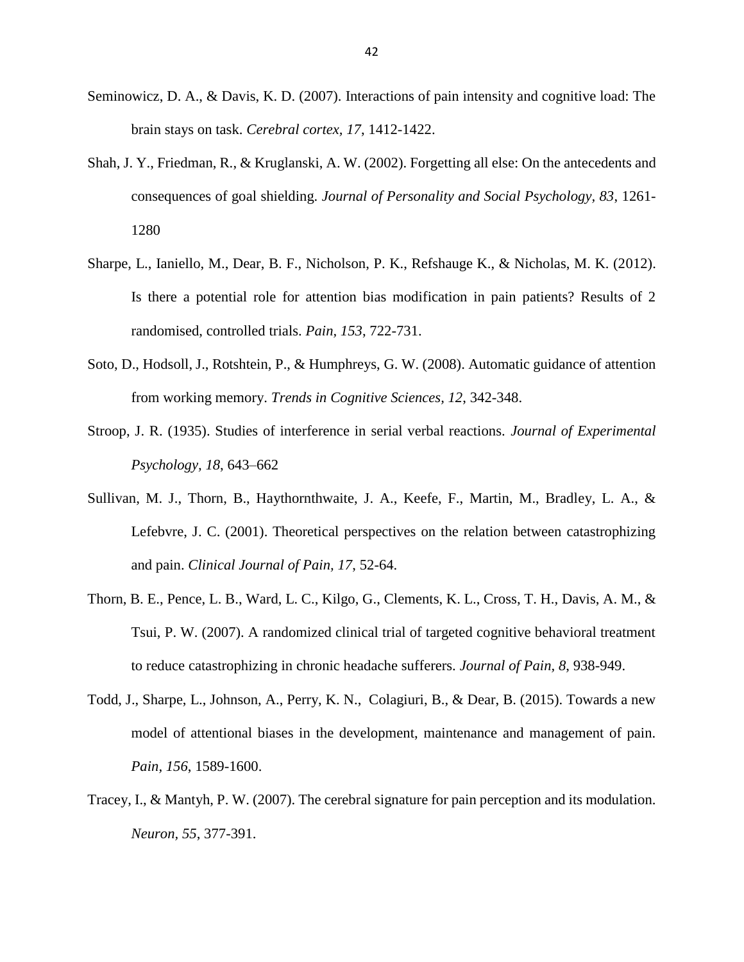- Seminowicz, D. A., & Davis, K. D. (2007). Interactions of pain intensity and cognitive load: The brain stays on task. *Cerebral cortex, 17*, 1412-1422.
- Shah, J. Y., Friedman, R., & Kruglanski, A. W. (2002). Forgetting all else: On the antecedents and consequences of goal shielding. *Journal of Personality and Social Psychology, 83*, 1261- 1280
- Sharpe, L., Ianiello, M., Dear, B. F., Nicholson, P. K., Refshauge K., & Nicholas, M. K. (2012). Is there a potential role for attention bias modification in pain patients? Results of 2 randomised, controlled trials. *Pain, 153*, 722-731.
- Soto, D., Hodsoll, J., Rotshtein, P., & Humphreys, G. W. (2008). Automatic guidance of attention from working memory. *Trends in Cognitive Sciences, 12*, 342-348.
- Stroop, J. R. (1935). Studies of interference in serial verbal reactions. *Journal of Experimental Psychology, 18*, 643–662
- Sullivan, M. J., Thorn, B., Haythornthwaite, J. A., Keefe, F., Martin, M., Bradley, L. A., & Lefebvre, J. C. (2001). Theoretical perspectives on the relation between catastrophizing and pain. *Clinical Journal of Pain, 17*, 52-64.
- Thorn, B. E., Pence, L. B., Ward, L. C., Kilgo, G., Clements, K. L., Cross, T. H., Davis, A. M., & Tsui, P. W. (2007). A randomized clinical trial of targeted cognitive behavioral treatment to reduce catastrophizing in chronic headache sufferers. *Journal of Pain, 8*, 938-949.
- Todd, J., Sharpe, L., Johnson, A., Perry, K. N., Colagiuri, B., & Dear, B. (2015). Towards a new model of attentional biases in the development, maintenance and management of pain. *Pain, 156*, 1589-1600.
- Tracey, I., & Mantyh, P. W. (2007). The cerebral signature for pain perception and its modulation. *Neuron, 55*, 377-391.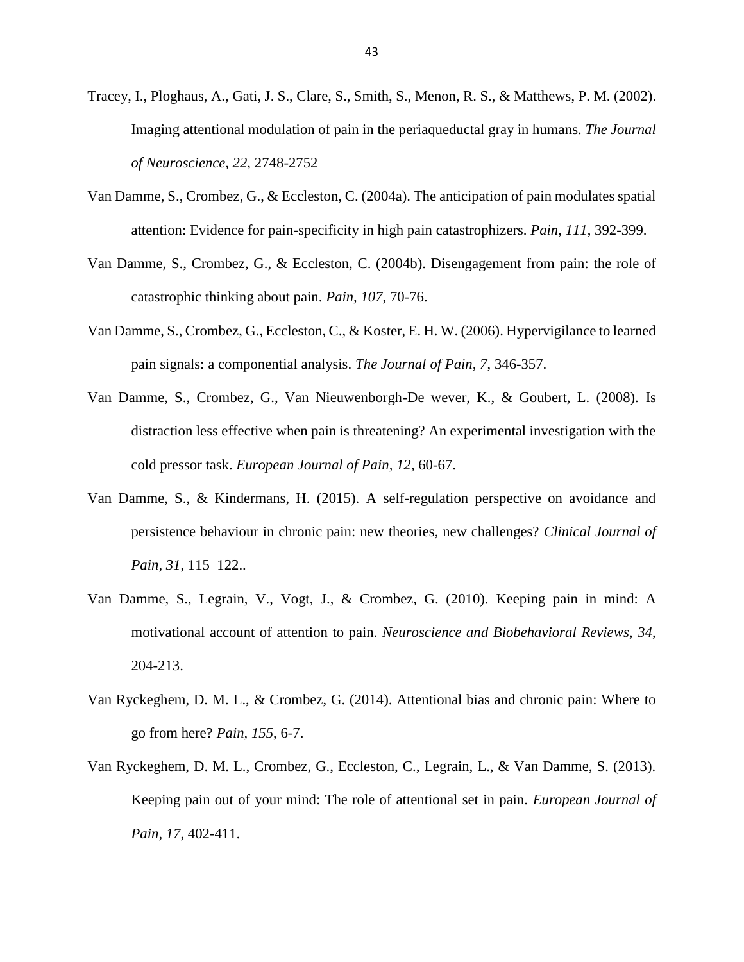- Tracey, I., Ploghaus, A., Gati, J. S., Clare, S., Smith, S., Menon, R. S., & Matthews, P. M. (2002). Imaging attentional modulation of pain in the periaqueductal gray in humans. *The Journal of Neuroscience, 22,* 2748-2752
- Van Damme, S., Crombez, G., & Eccleston, C. (2004a). The anticipation of pain modulates spatial attention: Evidence for pain-specificity in high pain catastrophizers. *Pain, 111*, 392-399.
- Van Damme, S., Crombez, G., & Eccleston, C. (2004b). Disengagement from pain: the role of catastrophic thinking about pain. *Pain, 107*, 70-76.
- Van Damme, S., Crombez, G., Eccleston, C., & Koster, E. H. W. (2006). Hypervigilance to learned pain signals: a componential analysis. *The Journal of Pain, 7*, 346-357.
- Van Damme, S., Crombez, G., Van Nieuwenborgh-De wever, K., & Goubert, L. (2008). Is distraction less effective when pain is threatening? An experimental investigation with the cold pressor task. *European Journal of Pain, 12*, 60-67.
- Van Damme, S., & Kindermans, H. (2015). A self-regulation perspective on avoidance and persistence behaviour in chronic pain: new theories, new challenges? *Clinical Journal of Pain, 31*, 115–122..
- Van Damme, S., Legrain, V., Vogt, J., & Crombez, G. (2010). Keeping pain in mind: A motivational account of attention to pain. *Neuroscience and Biobehavioral Reviews, 34*, 204-213.
- Van Ryckeghem, D. M. L., & Crombez, G. (2014). Attentional bias and chronic pain: Where to go from here? *Pain, 155*, 6-7.
- Van Ryckeghem, D. M. L., Crombez, G., Eccleston, C., Legrain, L., & Van Damme, S. (2013). Keeping pain out of your mind: The role of attentional set in pain. *European Journal of Pain, 17*, 402-411.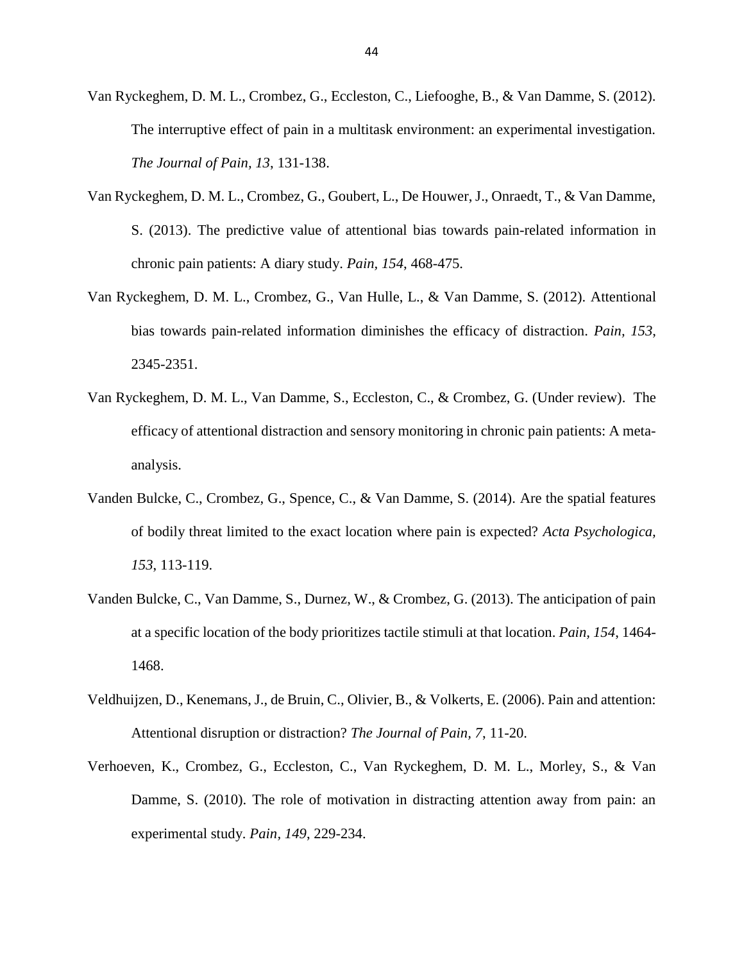Van Ryckeghem, D. M. L., Crombez, G., Eccleston, C., Liefooghe, B., & Van Damme, S. (2012). The interruptive effect of pain in a multitask environment: an experimental investigation. *The Journal of Pain, 13*, 131-138.

- Van Ryckeghem, D. M. L., Crombez, G., Goubert, L., De Houwer, J., Onraedt, T., & Van Damme, S. (2013). The predictive value of attentional bias towards pain-related information in chronic pain patients: A diary study. *Pain, 154*, 468-475.
- Van Ryckeghem, D. M. L., Crombez, G., Van Hulle, L., & Van Damme, S. (2012). Attentional bias towards pain-related information diminishes the efficacy of distraction. *Pain, 153*, 2345-2351.
- Van Ryckeghem, D. M. L., Van Damme, S., Eccleston, C., & Crombez, G. (Under review). The efficacy of attentional distraction and sensory monitoring in chronic pain patients: A metaanalysis.
- Vanden Bulcke, C., Crombez, G., Spence, C., & Van Damme, S. (2014). Are the spatial features of bodily threat limited to the exact location where pain is expected? *Acta Psychologica, 153*, 113-119.
- Vanden Bulcke, C., Van Damme, S., Durnez, W., & Crombez, G. (2013). The anticipation of pain at a specific location of the body prioritizes tactile stimuli at that location. *Pain, 154*, 1464- 1468.
- Veldhuijzen, D., Kenemans, J., de Bruin, C., Olivier, B., & Volkerts, E. (2006). Pain and attention: Attentional disruption or distraction? *The Journal of Pain, 7*, 11-20.
- Verhoeven, K., Crombez, G., Eccleston, C., Van Ryckeghem, D. M. L., Morley, S., & Van Damme, S. (2010). The role of motivation in distracting attention away from pain: an experimental study. *Pain, 149*, 229-234.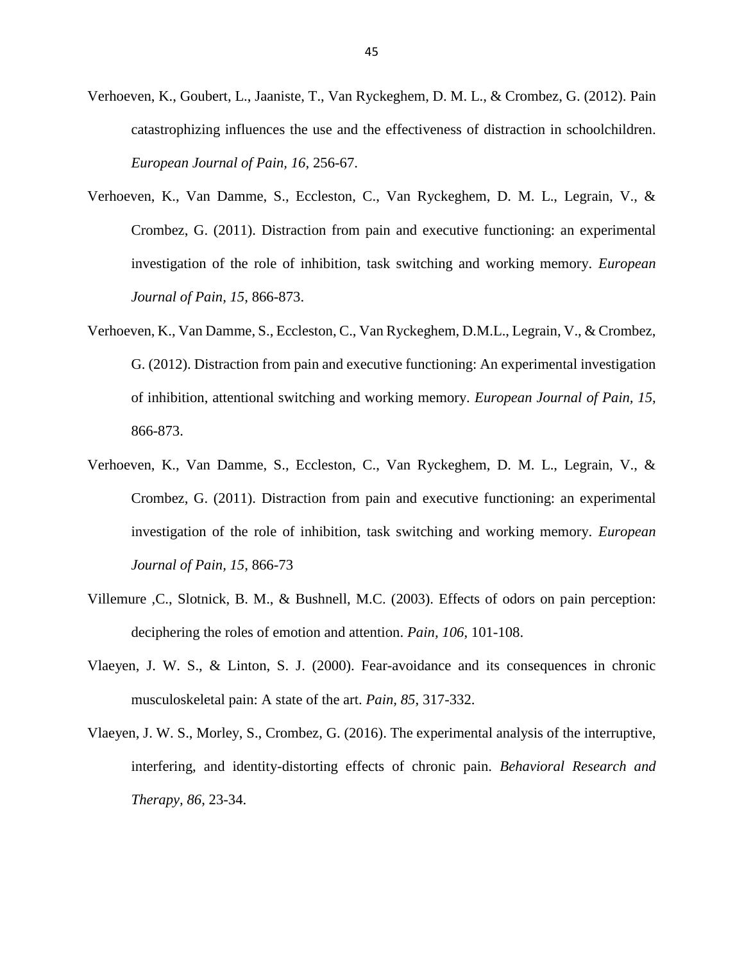- Verhoeven, K., Goubert, L., Jaaniste, T., Van Ryckeghem, D. M. L., & Crombez, G. (2012). Pain catastrophizing influences the use and the effectiveness of distraction in schoolchildren. *European Journal of Pain, 16*, 256-67.
- Verhoeven, K., Van Damme, S., Eccleston, C., Van Ryckeghem, D. M. L., Legrain, V., & Crombez, G. (2011). Distraction from pain and executive functioning: an experimental investigation of the role of inhibition, task switching and working memory. *European Journal of Pain, 15*, 866-873.
- Verhoeven, K., Van Damme, S., Eccleston, C., Van Ryckeghem, D.M.L., Legrain, V., & Crombez, G. (2012). Distraction from pain and executive functioning: An experimental investigation of inhibition, attentional switching and working memory. *European Journal of Pain, 15*, 866-873.
- Verhoeven, K., Van Damme, S., Eccleston, C., Van Ryckeghem, D. M. L., Legrain, V., & Crombez, G. (2011). Distraction from pain and executive functioning: an experimental investigation of the role of inhibition, task switching and working memory. *European Journal of Pain, 15*, 866-73
- Villemure ,C., Slotnick, B. M., & Bushnell, M.C. (2003). Effects of odors on pain perception: deciphering the roles of emotion and attention. *Pain, 106*, 101-108.
- Vlaeyen, J. W. S., & Linton, S. J. (2000). Fear-avoidance and its consequences in chronic musculoskeletal pain: A state of the art. *Pain, 85*, 317-332.
- Vlaeyen, J. W. S., Morley, S., Crombez, G. (2016). The experimental analysis of the interruptive, interfering, and identity-distorting effects of chronic pain. *Behavioral Research and Therapy, 86*, 23-34.